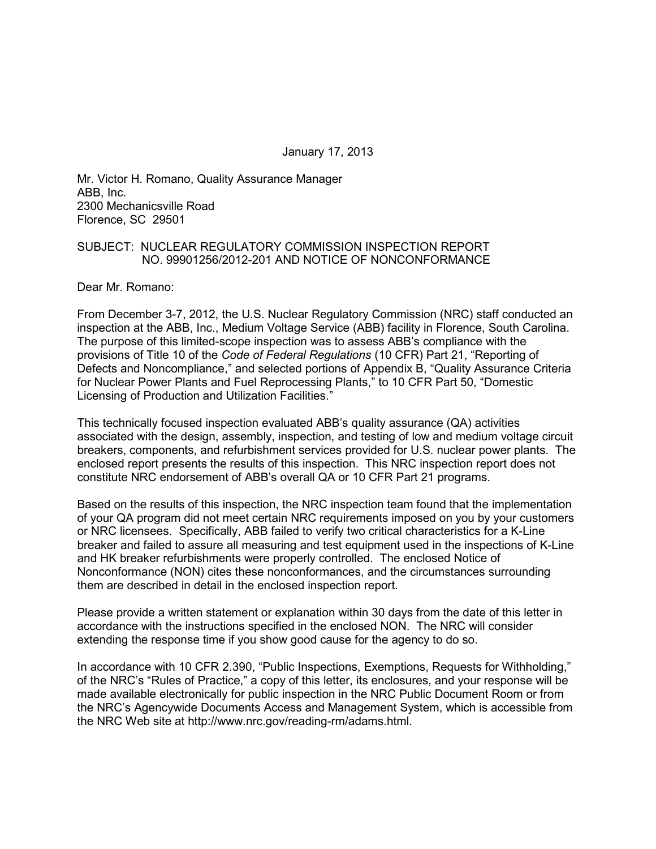January 17, 2013

Mr. Victor H. Romano, Quality Assurance Manager ABB, Inc. 2300 Mechanicsville Road Florence, SC 29501

#### SUBJECT: NUCLEAR REGULATORY COMMISSION INSPECTION REPORT NO. 99901256/2012-201 AND NOTICE OF NONCONFORMANCE

Dear Mr. Romano:

From December 3-7, 2012, the U.S. Nuclear Regulatory Commission (NRC) staff conducted an inspection at the ABB, Inc., Medium Voltage Service (ABB) facility in Florence, South Carolina. The purpose of this limited-scope inspection was to assess ABB's compliance with the provisions of Title 10 of the *Code of Federal Regulations* (10 CFR) Part 21, "Reporting of Defects and Noncompliance," and selected portions of Appendix B, "Quality Assurance Criteria for Nuclear Power Plants and Fuel Reprocessing Plants," to 10 CFR Part 50, "Domestic Licensing of Production and Utilization Facilities."

This technically focused inspection evaluated ABB's quality assurance (QA) activities associated with the design, assembly, inspection, and testing of low and medium voltage circuit breakers, components, and refurbishment services provided for U.S. nuclear power plants. The enclosed report presents the results of this inspection. This NRC inspection report does not constitute NRC endorsement of ABB's overall QA or 10 CFR Part 21 programs.

Based on the results of this inspection, the NRC inspection team found that the implementation of your QA program did not meet certain NRC requirements imposed on you by your customers or NRC licensees. Specifically, ABB failed to verify two critical characteristics for a K-Line breaker and failed to assure all measuring and test equipment used in the inspections of K-Line and HK breaker refurbishments were properly controlled. The enclosed Notice of Nonconformance (NON) cites these nonconformances, and the circumstances surrounding them are described in detail in the enclosed inspection report.

Please provide a written statement or explanation within 30 days from the date of this letter in accordance with the instructions specified in the enclosed NON. The NRC will consider extending the response time if you show good cause for the agency to do so.

In accordance with 10 CFR 2.390, "Public Inspections, Exemptions, Requests for Withholding," of the NRC's "Rules of Practice," a copy of this letter, its enclosures, and your response will be made available electronically for public inspection in the NRC Public Document Room or from the NRC's Agencywide Documents Access and Management System, which is accessible from the NRC Web site at http://www.nrc.gov/reading-rm/adams.html.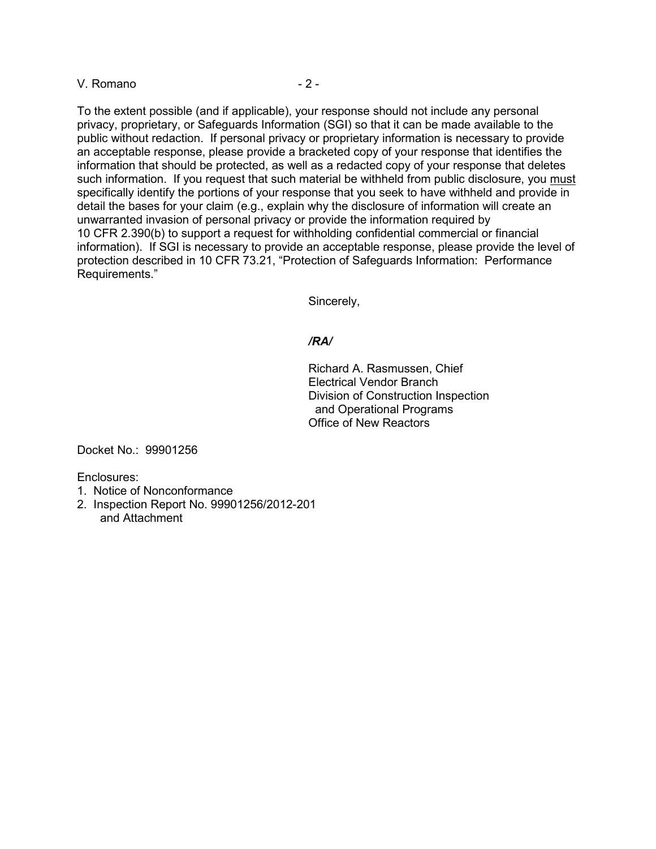#### V. Romano  $-2$  -

To the extent possible (and if applicable), your response should not include any personal privacy, proprietary, or Safeguards Information (SGI) so that it can be made available to the public without redaction. If personal privacy or proprietary information is necessary to provide an acceptable response, please provide a bracketed copy of your response that identifies the information that should be protected, as well as a redacted copy of your response that deletes such information. If you request that such material be withheld from public disclosure, you must specifically identify the portions of your response that you seek to have withheld and provide in detail the bases for your claim (e.g., explain why the disclosure of information will create an unwarranted invasion of personal privacy or provide the information required by 10 CFR 2.390(b) to support a request for withholding confidential commercial or financial information). If SGI is necessary to provide an acceptable response, please provide the level of protection described in 10 CFR 73.21, "Protection of Safeguards Information: Performance Requirements."

Sincerely,

#### */RA/*

Richard A. Rasmussen, Chief Electrical Vendor Branch Division of Construction Inspection and Operational Programs Office of New Reactors

Docket No.: 99901256

Enclosures:

- 1. Notice of Nonconformance
- 2. Inspection Report No. 99901256/2012-201 and Attachment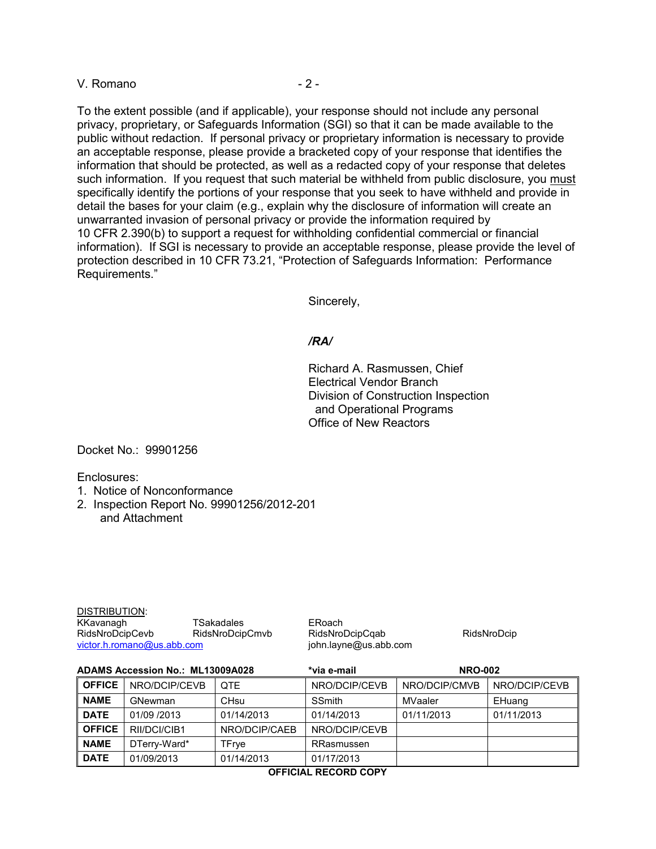#### V. Romano  $-2$  -

To the extent possible (and if applicable), your response should not include any personal privacy, proprietary, or Safeguards Information (SGI) so that it can be made available to the public without redaction. If personal privacy or proprietary information is necessary to provide an acceptable response, please provide a bracketed copy of your response that identifies the information that should be protected, as well as a redacted copy of your response that deletes such information. If you request that such material be withheld from public disclosure, you must specifically identify the portions of your response that you seek to have withheld and provide in detail the bases for your claim (e.g., explain why the disclosure of information will create an unwarranted invasion of personal privacy or provide the information required by 10 CFR 2.390(b) to support a request for withholding confidential commercial or financial information). If SGI is necessary to provide an acceptable response, please provide the level of protection described in 10 CFR 73.21, "Protection of Safeguards Information: Performance Requirements."

Sincerely,

#### */RA/*

Richard A. Rasmussen, Chief Electrical Vendor Branch Division of Construction Inspection and Operational Programs Office of New Reactors

Docket No.: 99901256

Enclosures:

- 1. Notice of Nonconformance
- 2. Inspection Report No. 99901256/2012-201 and Attachment

| DISTRIBUTION:              |                 |  |  |  |
|----------------------------|-----------------|--|--|--|
| KKavanagh                  | TSakadales      |  |  |  |
| RidsNroDcipCevb            | RidsNroDcipCmvb |  |  |  |
| victor.h.romano@us.abb.com |                 |  |  |  |

ERoach RidsNroDcipCqab RidsNroDcip john.layne@us.abb.com

| <b>ADAMS Accession No.: ML13009A028</b> |               | *via e-mail      | <b>NRO-002</b> |               |               |
|-----------------------------------------|---------------|------------------|----------------|---------------|---------------|
| <b>OFFICE</b>                           | NRO/DCIP/CEVB | <b>OTE</b>       | NRO/DCIP/CEVB  | NRO/DCIP/CMVB | NRO/DCIP/CEVB |
| <b>NAME</b>                             | GNewman       | CH <sub>su</sub> | <b>SSmith</b>  | MVaaler       | EHuang        |
| <b>DATE</b>                             | 01/09 /2013   | 01/14/2013       | 01/14/2013     | 01/11/2013    | 01/11/2013    |
| <b>OFFICE</b>                           | RII/DCI/CIB1  | NRO/DCIP/CAEB    | NRO/DCIP/CEVB  |               |               |
| <b>NAME</b>                             | DTerry-Ward*  | TFrye            | RRasmussen     |               |               |
| <b>DATE</b>                             | 01/09/2013    | 01/14/2013       | 01/17/2013     |               |               |

**OFFICIAL RECORD COPY**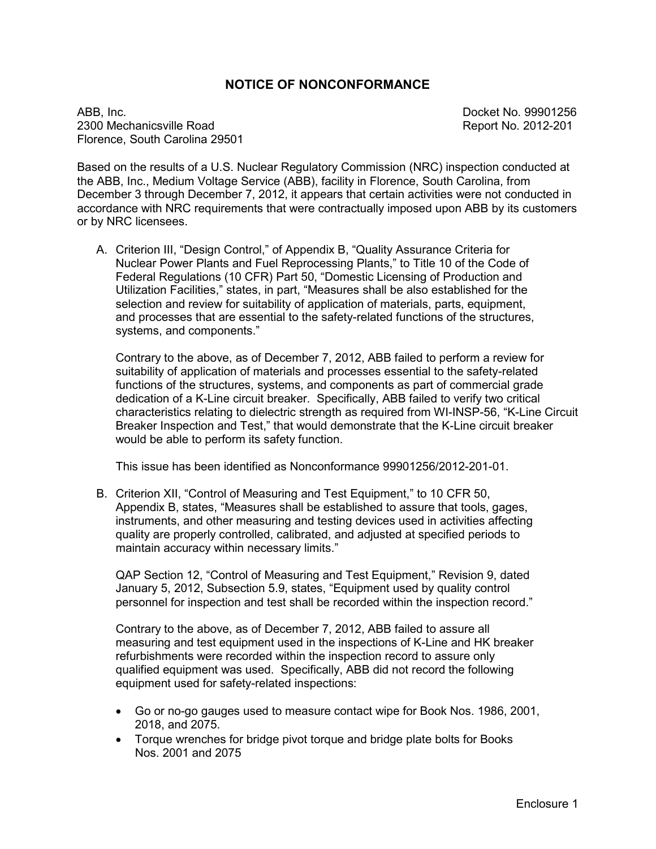### **NOTICE OF NONCONFORMANCE**

ABB, Inc. 2009 256 2300 Mechanicsville Road **Report No. 2012-201** Florence, South Carolina 29501

Based on the results of a U.S. Nuclear Regulatory Commission (NRC) inspection conducted at the ABB, Inc., Medium Voltage Service (ABB), facility in Florence, South Carolina, from December 3 through December 7, 2012, it appears that certain activities were not conducted in accordance with NRC requirements that were contractually imposed upon ABB by its customers or by NRC licensees.

A. Criterion III, "Design Control," of Appendix B, "Quality Assurance Criteria for Nuclear Power Plants and Fuel Reprocessing Plants," to Title 10 of the Code of Federal Regulations (10 CFR) Part 50, "Domestic Licensing of Production and Utilization Facilities," states, in part, "Measures shall be also established for the selection and review for suitability of application of materials, parts, equipment, and processes that are essential to the safety-related functions of the structures, systems, and components."

Contrary to the above, as of December 7, 2012, ABB failed to perform a review for suitability of application of materials and processes essential to the safety-related functions of the structures, systems, and components as part of commercial grade dedication of a K-Line circuit breaker. Specifically, ABB failed to verify two critical characteristics relating to dielectric strength as required from WI-INSP-56, "K-Line Circuit Breaker Inspection and Test," that would demonstrate that the K-Line circuit breaker would be able to perform its safety function.

This issue has been identified as Nonconformance 99901256/2012-201-01.

B. Criterion XII, "Control of Measuring and Test Equipment," to 10 CFR 50, Appendix B, states, "Measures shall be established to assure that tools, gages, instruments, and other measuring and testing devices used in activities affecting quality are properly controlled, calibrated, and adjusted at specified periods to maintain accuracy within necessary limits."

QAP Section 12, "Control of Measuring and Test Equipment," Revision 9, dated January 5, 2012, Subsection 5.9, states, "Equipment used by quality control personnel for inspection and test shall be recorded within the inspection record."

Contrary to the above, as of December 7, 2012, ABB failed to assure all measuring and test equipment used in the inspections of K-Line and HK breaker refurbishments were recorded within the inspection record to assure only qualified equipment was used. Specifically, ABB did not record the following equipment used for safety-related inspections:

- Go or no-go gauges used to measure contact wipe for Book Nos. 1986, 2001, 2018, and 2075.
- Torque wrenches for bridge pivot torque and bridge plate bolts for Books Nos. 2001 and 2075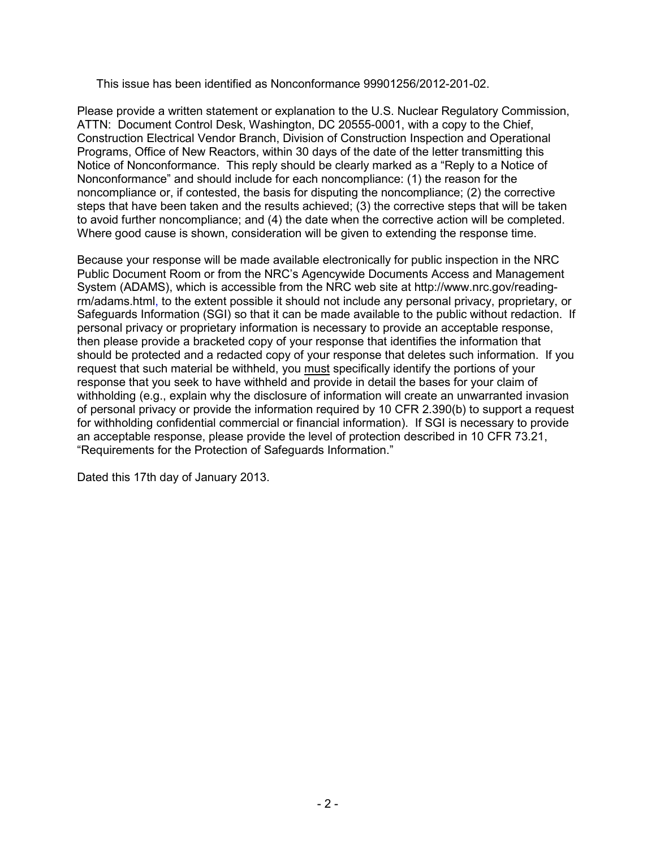This issue has been identified as Nonconformance 99901256/2012-201-02.

Please provide a written statement or explanation to the U.S. Nuclear Regulatory Commission, ATTN: Document Control Desk, Washington, DC 20555-0001, with a copy to the Chief, Construction Electrical Vendor Branch, Division of Construction Inspection and Operational Programs, Office of New Reactors, within 30 days of the date of the letter transmitting this Notice of Nonconformance. This reply should be clearly marked as a "Reply to a Notice of Nonconformance" and should include for each noncompliance: (1) the reason for the noncompliance or, if contested, the basis for disputing the noncompliance; (2) the corrective steps that have been taken and the results achieved; (3) the corrective steps that will be taken to avoid further noncompliance; and (4) the date when the corrective action will be completed. Where good cause is shown, consideration will be given to extending the response time.

Because your response will be made available electronically for public inspection in the NRC Public Document Room or from the NRC's Agencywide Documents Access and Management System (ADAMS), which is accessible from the NRC web site at http://www.nrc.gov/readingrm/adams.html, to the extent possible it should not include any personal privacy, proprietary, or Safeguards Information (SGI) so that it can be made available to the public without redaction. If personal privacy or proprietary information is necessary to provide an acceptable response, then please provide a bracketed copy of your response that identifies the information that should be protected and a redacted copy of your response that deletes such information. If you request that such material be withheld, you must specifically identify the portions of your response that you seek to have withheld and provide in detail the bases for your claim of withholding (e.g., explain why the disclosure of information will create an unwarranted invasion of personal privacy or provide the information required by 10 CFR 2.390(b) to support a request for withholding confidential commercial or financial information). If SGI is necessary to provide an acceptable response, please provide the level of protection described in 10 CFR 73.21, "Requirements for the Protection of Safeguards Information."

Dated this 17th day of January 2013.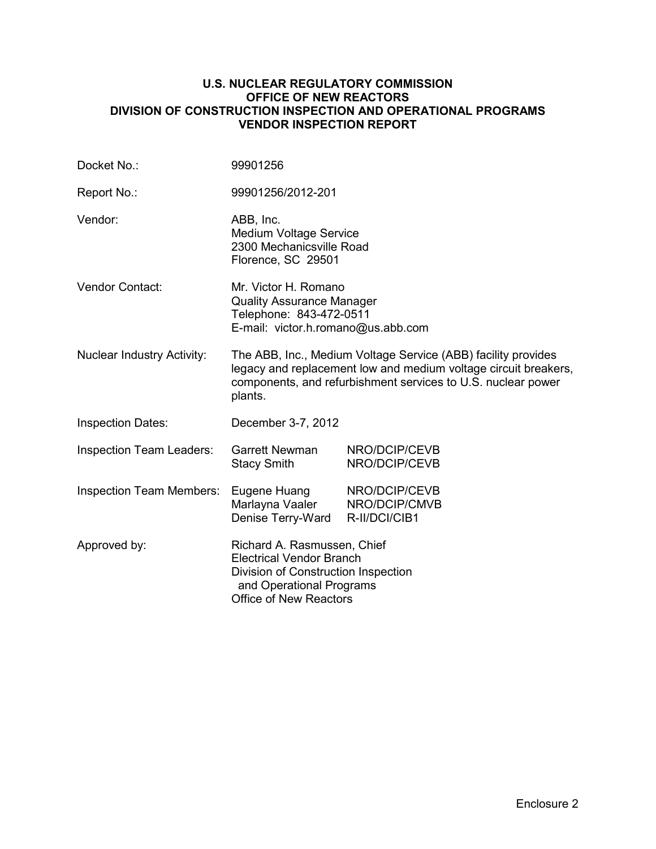### **U.S. NUCLEAR REGULATORY COMMISSION OFFICE OF NEW REACTORS DIVISION OF CONSTRUCTION INSPECTION AND OPERATIONAL PROGRAMS VENDOR INSPECTION REPORT**

| Docket No.:                       | 99901256                                                                                                                                                                                                    |                                                 |  |
|-----------------------------------|-------------------------------------------------------------------------------------------------------------------------------------------------------------------------------------------------------------|-------------------------------------------------|--|
| Report No.:                       | 99901256/2012-201                                                                                                                                                                                           |                                                 |  |
| Vendor:                           | ABB, Inc.<br><b>Medium Voltage Service</b><br>2300 Mechanicsville Road<br>Florence, SC 29501                                                                                                                |                                                 |  |
| Vendor Contact:                   | Mr. Victor H. Romano<br><b>Quality Assurance Manager</b><br>Telephone: 843-472-0511<br>E-mail: victor.h.romano@us.abb.com                                                                                   |                                                 |  |
| <b>Nuclear Industry Activity:</b> | The ABB, Inc., Medium Voltage Service (ABB) facility provides<br>legacy and replacement low and medium voltage circuit breakers,<br>components, and refurbishment services to U.S. nuclear power<br>plants. |                                                 |  |
| <b>Inspection Dates:</b>          | December 3-7, 2012                                                                                                                                                                                          |                                                 |  |
| <b>Inspection Team Leaders:</b>   | <b>Garrett Newman</b><br><b>Stacy Smith</b>                                                                                                                                                                 | NRO/DCIP/CEVB<br>NRO/DCIP/CEVB                  |  |
| <b>Inspection Team Members:</b>   | Eugene Huang<br>Marlayna Vaaler<br>Denise Terry-Ward                                                                                                                                                        | NRO/DCIP/CEVB<br>NRO/DCIP/CMVB<br>R-II/DCI/CIB1 |  |
| Approved by:                      | Richard A. Rasmussen, Chief<br><b>Electrical Vendor Branch</b><br>Division of Construction Inspection<br>and Operational Programs<br><b>Office of New Reactors</b>                                          |                                                 |  |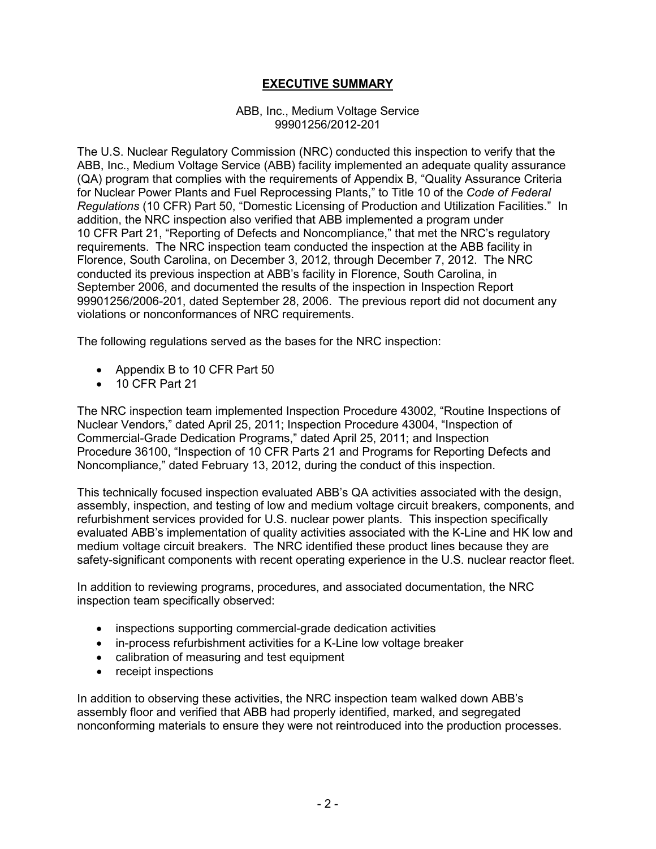# **EXECUTIVE SUMMARY**

#### ABB, Inc., Medium Voltage Service 99901256/2012-201

The U.S. Nuclear Regulatory Commission (NRC) conducted this inspection to verify that the ABB, Inc., Medium Voltage Service (ABB) facility implemented an adequate quality assurance (QA) program that complies with the requirements of Appendix B, "Quality Assurance Criteria for Nuclear Power Plants and Fuel Reprocessing Plants," to Title 10 of the *Code of Federal Regulations* (10 CFR) Part 50, "Domestic Licensing of Production and Utilization Facilities." In addition, the NRC inspection also verified that ABB implemented a program under 10 CFR Part 21, "Reporting of Defects and Noncompliance," that met the NRC's regulatory requirements. The NRC inspection team conducted the inspection at the ABB facility in Florence, South Carolina, on December 3, 2012, through December 7, 2012. The NRC conducted its previous inspection at ABB's facility in Florence, South Carolina, in September 2006, and documented the results of the inspection in Inspection Report 99901256/2006-201, dated September 28, 2006. The previous report did not document any violations or nonconformances of NRC requirements.

The following regulations served as the bases for the NRC inspection:

- Appendix B to 10 CFR Part 50
- 10 CFR Part 21

The NRC inspection team implemented Inspection Procedure 43002, "Routine Inspections of Nuclear Vendors," dated April 25, 2011; Inspection Procedure 43004, "Inspection of Commercial-Grade Dedication Programs," dated April 25, 2011; and Inspection Procedure 36100, "Inspection of 10 CFR Parts 21 and Programs for Reporting Defects and Noncompliance," dated February 13, 2012, during the conduct of this inspection.

This technically focused inspection evaluated ABB's QA activities associated with the design, assembly, inspection, and testing of low and medium voltage circuit breakers, components, and refurbishment services provided for U.S. nuclear power plants. This inspection specifically evaluated ABB's implementation of quality activities associated with the K-Line and HK low and medium voltage circuit breakers. The NRC identified these product lines because they are safety-significant components with recent operating experience in the U.S. nuclear reactor fleet.

In addition to reviewing programs, procedures, and associated documentation, the NRC inspection team specifically observed:

- inspections supporting commercial-grade dedication activities
- in-process refurbishment activities for a K-Line low voltage breaker
- calibration of measuring and test equipment
- receipt inspections

In addition to observing these activities, the NRC inspection team walked down ABB's assembly floor and verified that ABB had properly identified, marked, and segregated nonconforming materials to ensure they were not reintroduced into the production processes.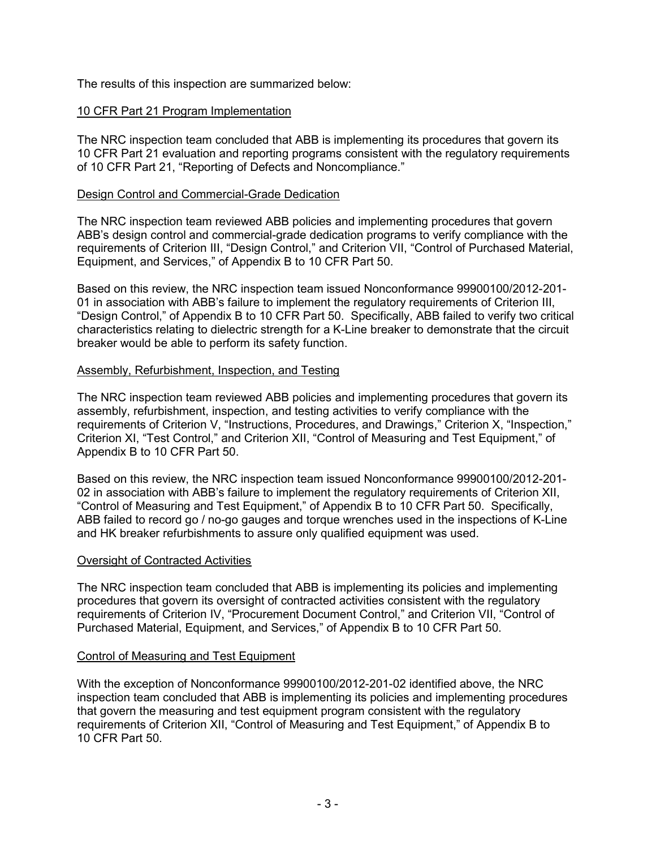The results of this inspection are summarized below:

# 10 CFR Part 21 Program Implementation

The NRC inspection team concluded that ABB is implementing its procedures that govern its 10 CFR Part 21 evaluation and reporting programs consistent with the regulatory requirements of 10 CFR Part 21, "Reporting of Defects and Noncompliance."

### Design Control and Commercial-Grade Dedication

The NRC inspection team reviewed ABB policies and implementing procedures that govern ABB's design control and commercial-grade dedication programs to verify compliance with the requirements of Criterion III, "Design Control," and Criterion VII, "Control of Purchased Material, Equipment, and Services," of Appendix B to 10 CFR Part 50.

Based on this review, the NRC inspection team issued Nonconformance 99900100/2012-201- 01 in association with ABB's failure to implement the regulatory requirements of Criterion III, "Design Control," of Appendix B to 10 CFR Part 50. Specifically, ABB failed to verify two critical characteristics relating to dielectric strength for a K-Line breaker to demonstrate that the circuit breaker would be able to perform its safety function.

# Assembly, Refurbishment, Inspection, and Testing

The NRC inspection team reviewed ABB policies and implementing procedures that govern its assembly, refurbishment, inspection, and testing activities to verify compliance with the requirements of Criterion V, "Instructions, Procedures, and Drawings," Criterion X, "Inspection," Criterion XI, "Test Control," and Criterion XII, "Control of Measuring and Test Equipment," of Appendix B to 10 CFR Part 50.

Based on this review, the NRC inspection team issued Nonconformance 99900100/2012-201- 02 in association with ABB's failure to implement the regulatory requirements of Criterion XII, "Control of Measuring and Test Equipment," of Appendix B to 10 CFR Part 50. Specifically, ABB failed to record go / no-go gauges and torque wrenches used in the inspections of K-Line and HK breaker refurbishments to assure only qualified equipment was used.

### Oversight of Contracted Activities

The NRC inspection team concluded that ABB is implementing its policies and implementing procedures that govern its oversight of contracted activities consistent with the regulatory requirements of Criterion IV, "Procurement Document Control," and Criterion VII, "Control of Purchased Material, Equipment, and Services," of Appendix B to 10 CFR Part 50.

### Control of Measuring and Test Equipment

With the exception of Nonconformance 99900100/2012-201-02 identified above, the NRC inspection team concluded that ABB is implementing its policies and implementing procedures that govern the measuring and test equipment program consistent with the regulatory requirements of Criterion XII, "Control of Measuring and Test Equipment," of Appendix B to 10 CFR Part 50.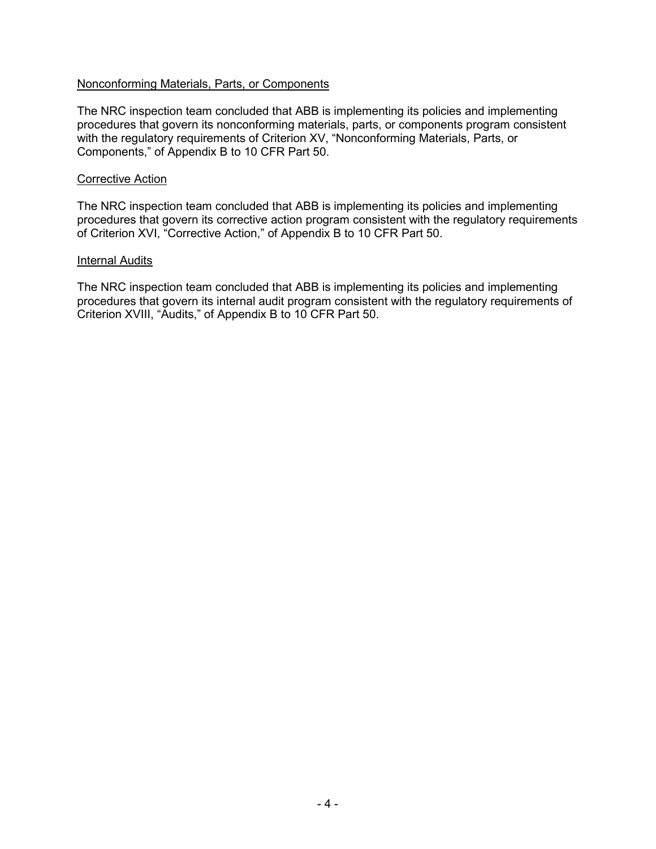### Nonconforming Materials, Parts, or Components

The NRC inspection team concluded that ABB is implementing its policies and implementing procedures that govern its nonconforming materials, parts, or components program consistent with the regulatory requirements of Criterion XV, "Nonconforming Materials, Parts, or Components," of Appendix B to 10 CFR Part 50.

#### Corrective Action

The NRC inspection team concluded that ABB is implementing its policies and implementing procedures that govern its corrective action program consistent with the regulatory requirements of Criterion XVI, "Corrective Action," of Appendix B to 10 CFR Part 50.

#### Internal Audits

The NRC inspection team concluded that ABB is implementing its policies and implementing procedures that govern its internal audit program consistent with the regulatory requirements of Criterion XVIII, "Audits," of Appendix B to 10 CFR Part 50.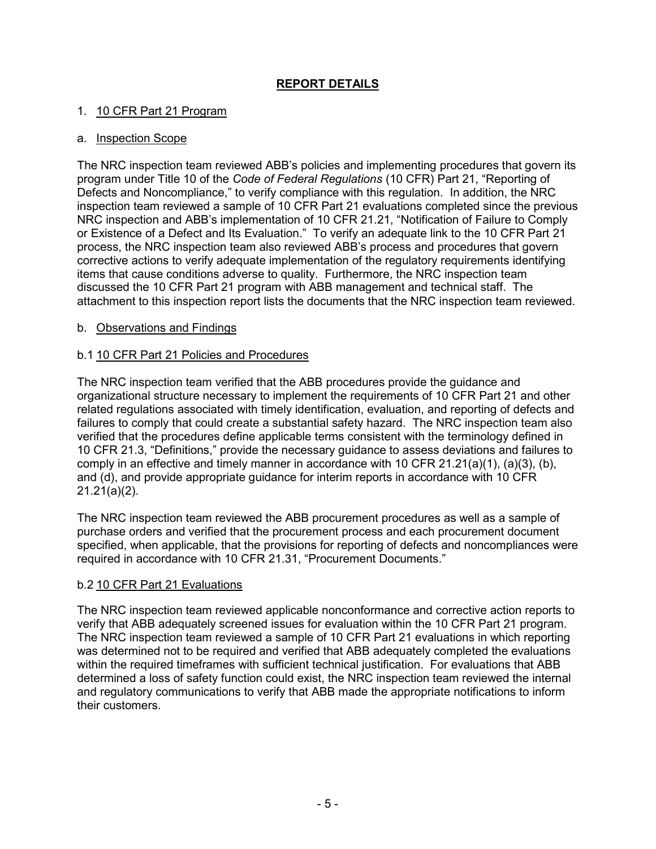# **REPORT DETAILS**

# 1. 10 CFR Part 21 Program

### a. Inspection Scope

The NRC inspection team reviewed ABB's policies and implementing procedures that govern its program under Title 10 of the *Code of Federal Regulations* (10 CFR) Part 21, "Reporting of Defects and Noncompliance," to verify compliance with this regulation. In addition, the NRC inspection team reviewed a sample of 10 CFR Part 21 evaluations completed since the previous NRC inspection and ABB's implementation of 10 CFR 21.21, "Notification of Failure to Comply or Existence of a Defect and Its Evaluation." To verify an adequate link to the 10 CFR Part 21 process, the NRC inspection team also reviewed ABB's process and procedures that govern corrective actions to verify adequate implementation of the regulatory requirements identifying items that cause conditions adverse to quality. Furthermore, the NRC inspection team discussed the 10 CFR Part 21 program with ABB management and technical staff. The attachment to this inspection report lists the documents that the NRC inspection team reviewed.

### b. Observations and Findings

### b.1 10 CFR Part 21 Policies and Procedures

The NRC inspection team verified that the ABB procedures provide the guidance and organizational structure necessary to implement the requirements of 10 CFR Part 21 and other related regulations associated with timely identification, evaluation, and reporting of defects and failures to comply that could create a substantial safety hazard. The NRC inspection team also verified that the procedures define applicable terms consistent with the terminology defined in 10 CFR 21.3, "Definitions," provide the necessary guidance to assess deviations and failures to comply in an effective and timely manner in accordance with 10 CFR  $21.21(a)(1)$ ,  $(a)(3)$ ,  $(b)$ , and (d), and provide appropriate guidance for interim reports in accordance with 10 CFR 21.21(a)(2).

The NRC inspection team reviewed the ABB procurement procedures as well as a sample of purchase orders and verified that the procurement process and each procurement document specified, when applicable, that the provisions for reporting of defects and noncompliances were required in accordance with 10 CFR 21.31, "Procurement Documents."

### b.2 10 CFR Part 21 Evaluations

The NRC inspection team reviewed applicable nonconformance and corrective action reports to verify that ABB adequately screened issues for evaluation within the 10 CFR Part 21 program. The NRC inspection team reviewed a sample of 10 CFR Part 21 evaluations in which reporting was determined not to be required and verified that ABB adequately completed the evaluations within the required timeframes with sufficient technical justification. For evaluations that ABB determined a loss of safety function could exist, the NRC inspection team reviewed the internal and regulatory communications to verify that ABB made the appropriate notifications to inform their customers.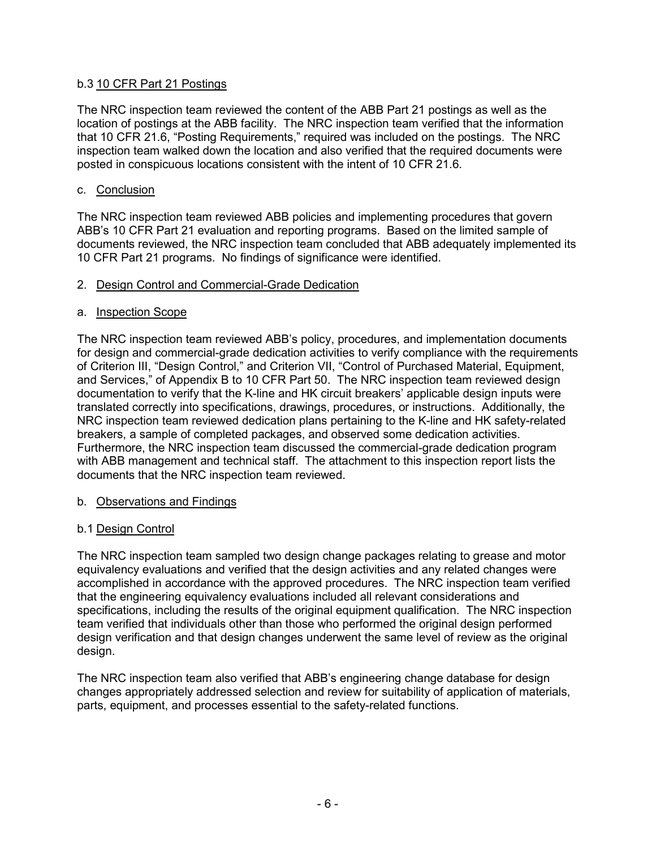### b.3 10 CFR Part 21 Postings

The NRC inspection team reviewed the content of the ABB Part 21 postings as well as the location of postings at the ABB facility. The NRC inspection team verified that the information that 10 CFR 21.6, "Posting Requirements," required was included on the postings. The NRC inspection team walked down the location and also verified that the required documents were posted in conspicuous locations consistent with the intent of 10 CFR 21.6.

### c. Conclusion

The NRC inspection team reviewed ABB policies and implementing procedures that govern ABB's 10 CFR Part 21 evaluation and reporting programs. Based on the limited sample of documents reviewed, the NRC inspection team concluded that ABB adequately implemented its 10 CFR Part 21 programs. No findings of significance were identified.

### 2. Design Control and Commercial-Grade Dedication

### a. Inspection Scope

The NRC inspection team reviewed ABB's policy, procedures, and implementation documents for design and commercial-grade dedication activities to verify compliance with the requirements of Criterion III, "Design Control," and Criterion VII, "Control of Purchased Material, Equipment, and Services," of Appendix B to 10 CFR Part 50. The NRC inspection team reviewed design documentation to verify that the K-line and HK circuit breakers' applicable design inputs were translated correctly into specifications, drawings, procedures, or instructions. Additionally, the NRC inspection team reviewed dedication plans pertaining to the K-line and HK safety-related breakers, a sample of completed packages, and observed some dedication activities. Furthermore, the NRC inspection team discussed the commercial-grade dedication program with ABB management and technical staff. The attachment to this inspection report lists the documents that the NRC inspection team reviewed.

### b. Observations and Findings

### b.1 Design Control

The NRC inspection team sampled two design change packages relating to grease and motor equivalency evaluations and verified that the design activities and any related changes were accomplished in accordance with the approved procedures. The NRC inspection team verified that the engineering equivalency evaluations included all relevant considerations and specifications, including the results of the original equipment qualification. The NRC inspection team verified that individuals other than those who performed the original design performed design verification and that design changes underwent the same level of review as the original design.

The NRC inspection team also verified that ABB's engineering change database for design changes appropriately addressed selection and review for suitability of application of materials, parts, equipment, and processes essential to the safety-related functions.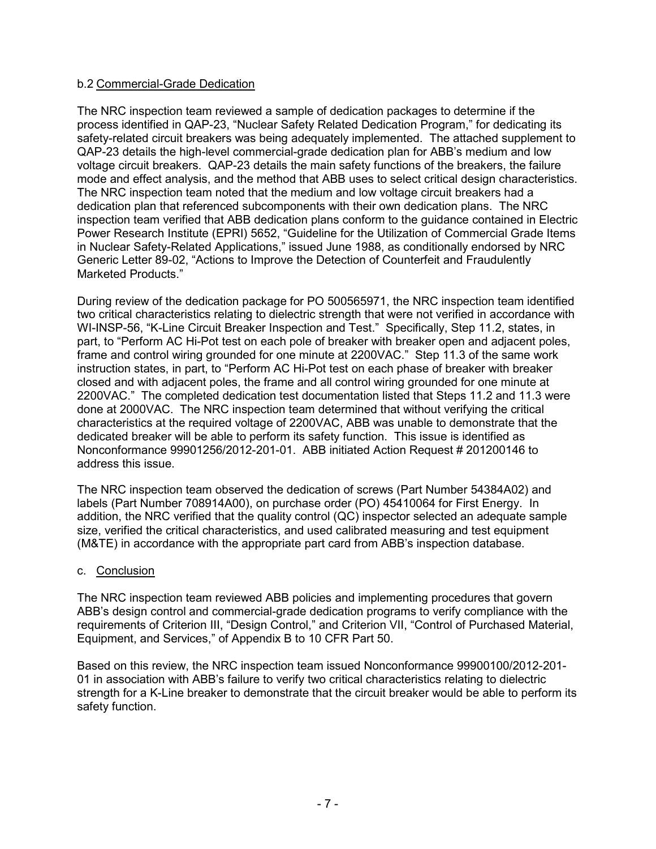### b.2 Commercial-Grade Dedication

The NRC inspection team reviewed a sample of dedication packages to determine if the process identified in QAP-23, "Nuclear Safety Related Dedication Program," for dedicating its safety-related circuit breakers was being adequately implemented. The attached supplement to QAP-23 details the high-level commercial-grade dedication plan for ABB's medium and low voltage circuit breakers. QAP-23 details the main safety functions of the breakers, the failure mode and effect analysis, and the method that ABB uses to select critical design characteristics. The NRC inspection team noted that the medium and low voltage circuit breakers had a dedication plan that referenced subcomponents with their own dedication plans. The NRC inspection team verified that ABB dedication plans conform to the guidance contained in Electric Power Research Institute (EPRI) 5652, "Guideline for the Utilization of Commercial Grade Items in Nuclear Safety-Related Applications," issued June 1988, as conditionally endorsed by NRC Generic Letter 89-02, "Actions to Improve the Detection of Counterfeit and Fraudulently Marketed Products."

During review of the dedication package for PO 500565971, the NRC inspection team identified two critical characteristics relating to dielectric strength that were not verified in accordance with WI-INSP-56, "K-Line Circuit Breaker Inspection and Test." Specifically, Step 11.2, states, in part, to "Perform AC Hi-Pot test on each pole of breaker with breaker open and adjacent poles, frame and control wiring grounded for one minute at 2200VAC." Step 11.3 of the same work instruction states, in part, to "Perform AC Hi-Pot test on each phase of breaker with breaker closed and with adjacent poles, the frame and all control wiring grounded for one minute at 2200VAC." The completed dedication test documentation listed that Steps 11.2 and 11.3 were done at 2000VAC. The NRC inspection team determined that without verifying the critical characteristics at the required voltage of 2200VAC, ABB was unable to demonstrate that the dedicated breaker will be able to perform its safety function. This issue is identified as Nonconformance 99901256/2012-201-01. ABB initiated Action Request # 201200146 to address this issue.

The NRC inspection team observed the dedication of screws (Part Number 54384A02) and labels (Part Number 708914A00), on purchase order (PO) 45410064 for First Energy. In addition, the NRC verified that the quality control (QC) inspector selected an adequate sample size, verified the critical characteristics, and used calibrated measuring and test equipment (M&TE) in accordance with the appropriate part card from ABB's inspection database.

### c. Conclusion

The NRC inspection team reviewed ABB policies and implementing procedures that govern ABB's design control and commercial-grade dedication programs to verify compliance with the requirements of Criterion III, "Design Control," and Criterion VII, "Control of Purchased Material, Equipment, and Services," of Appendix B to 10 CFR Part 50.

Based on this review, the NRC inspection team issued Nonconformance 99900100/2012-201- 01 in association with ABB's failure to verify two critical characteristics relating to dielectric strength for a K-Line breaker to demonstrate that the circuit breaker would be able to perform its safety function.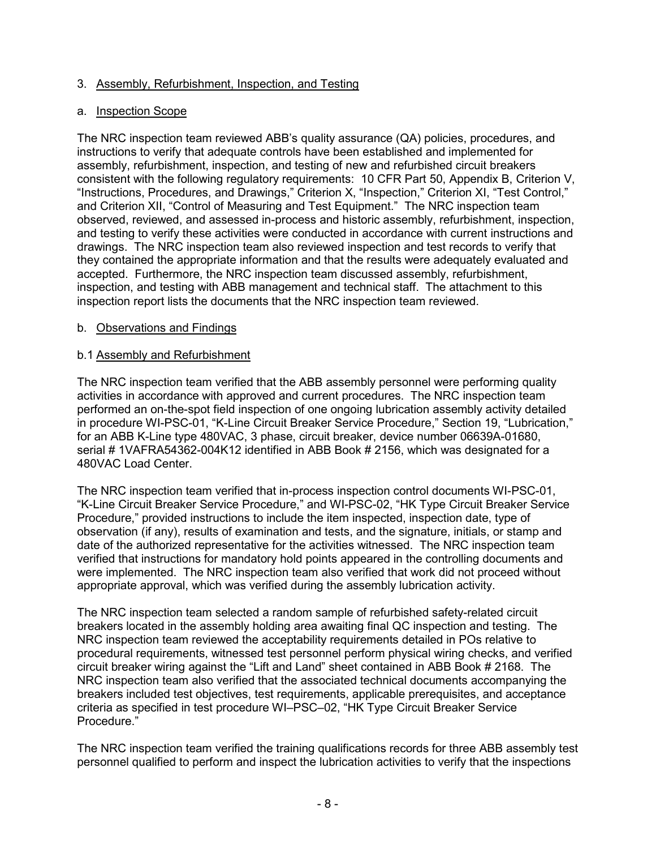# 3. Assembly, Refurbishment, Inspection, and Testing

### a. Inspection Scope

The NRC inspection team reviewed ABB's quality assurance (QA) policies, procedures, and instructions to verify that adequate controls have been established and implemented for assembly, refurbishment, inspection, and testing of new and refurbished circuit breakers consistent with the following regulatory requirements: 10 CFR Part 50, Appendix B, Criterion V, "Instructions, Procedures, and Drawings," Criterion X, "Inspection," Criterion XI, "Test Control," and Criterion XII, "Control of Measuring and Test Equipment." The NRC inspection team observed, reviewed, and assessed in-process and historic assembly, refurbishment, inspection, and testing to verify these activities were conducted in accordance with current instructions and drawings. The NRC inspection team also reviewed inspection and test records to verify that they contained the appropriate information and that the results were adequately evaluated and accepted. Furthermore, the NRC inspection team discussed assembly, refurbishment, inspection, and testing with ABB management and technical staff. The attachment to this inspection report lists the documents that the NRC inspection team reviewed.

### b. Observations and Findings

### b.1 Assembly and Refurbishment

The NRC inspection team verified that the ABB assembly personnel were performing quality activities in accordance with approved and current procedures. The NRC inspection team performed an on-the-spot field inspection of one ongoing lubrication assembly activity detailed in procedure WI-PSC-01, "K-Line Circuit Breaker Service Procedure," Section 19, "Lubrication," for an ABB K-Line type 480VAC, 3 phase, circuit breaker, device number 06639A-01680, serial # 1VAFRA54362-004K12 identified in ABB Book # 2156, which was designated for a 480VAC Load Center.

The NRC inspection team verified that in-process inspection control documents WI-PSC-01, "K-Line Circuit Breaker Service Procedure," and WI-PSC-02, "HK Type Circuit Breaker Service Procedure," provided instructions to include the item inspected, inspection date, type of observation (if any), results of examination and tests, and the signature, initials, or stamp and date of the authorized representative for the activities witnessed. The NRC inspection team verified that instructions for mandatory hold points appeared in the controlling documents and were implemented. The NRC inspection team also verified that work did not proceed without appropriate approval, which was verified during the assembly lubrication activity.

The NRC inspection team selected a random sample of refurbished safety-related circuit breakers located in the assembly holding area awaiting final QC inspection and testing. The NRC inspection team reviewed the acceptability requirements detailed in POs relative to procedural requirements, witnessed test personnel perform physical wiring checks, and verified circuit breaker wiring against the "Lift and Land" sheet contained in ABB Book # 2168. The NRC inspection team also verified that the associated technical documents accompanying the breakers included test objectives, test requirements, applicable prerequisites, and acceptance criteria as specified in test procedure WI–PSC–02, "HK Type Circuit Breaker Service Procedure."

The NRC inspection team verified the training qualifications records for three ABB assembly test personnel qualified to perform and inspect the lubrication activities to verify that the inspections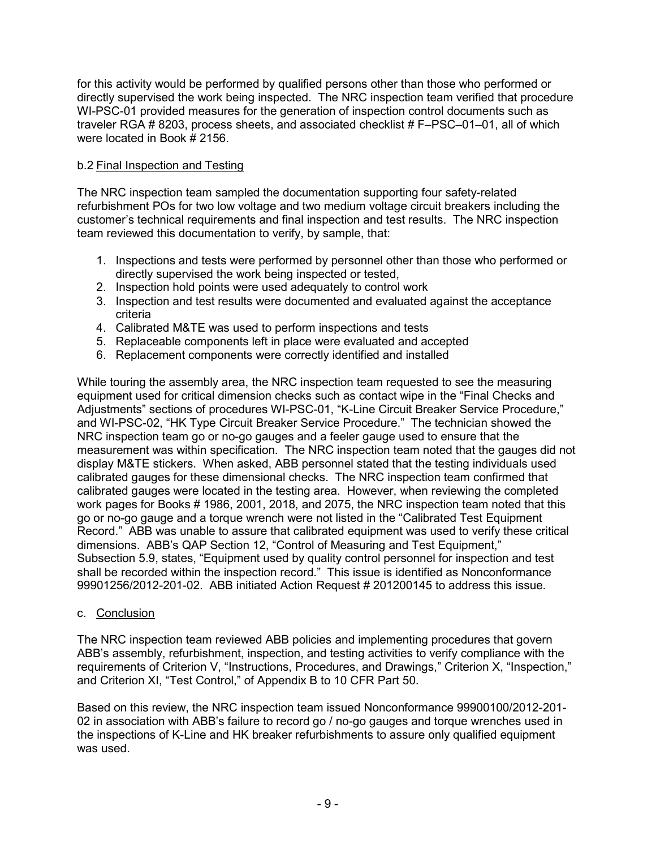for this activity would be performed by qualified persons other than those who performed or directly supervised the work being inspected. The NRC inspection team verified that procedure WI-PSC-01 provided measures for the generation of inspection control documents such as traveler RGA # 8203, process sheets, and associated checklist # F–PSC–01–01, all of which were located in Book # 2156.

# b.2 Final Inspection and Testing

The NRC inspection team sampled the documentation supporting four safety-related refurbishment POs for two low voltage and two medium voltage circuit breakers including the customer's technical requirements and final inspection and test results. The NRC inspection team reviewed this documentation to verify, by sample, that:

- 1. Inspections and tests were performed by personnel other than those who performed or directly supervised the work being inspected or tested,
- 2. Inspection hold points were used adequately to control work
- 3. Inspection and test results were documented and evaluated against the acceptance criteria
- 4. Calibrated M&TE was used to perform inspections and tests
- 5. Replaceable components left in place were evaluated and accepted
- 6. Replacement components were correctly identified and installed

While touring the assembly area, the NRC inspection team requested to see the measuring equipment used for critical dimension checks such as contact wipe in the "Final Checks and Adjustments" sections of procedures WI-PSC-01, "K-Line Circuit Breaker Service Procedure," and WI-PSC-02, "HK Type Circuit Breaker Service Procedure." The technician showed the NRC inspection team go or no-go gauges and a feeler gauge used to ensure that the measurement was within specification. The NRC inspection team noted that the gauges did not display M&TE stickers. When asked, ABB personnel stated that the testing individuals used calibrated gauges for these dimensional checks. The NRC inspection team confirmed that calibrated gauges were located in the testing area. However, when reviewing the completed work pages for Books # 1986, 2001, 2018, and 2075, the NRC inspection team noted that this go or no-go gauge and a torque wrench were not listed in the "Calibrated Test Equipment Record." ABB was unable to assure that calibrated equipment was used to verify these critical dimensions. ABB's QAP Section 12, "Control of Measuring and Test Equipment," Subsection 5.9, states, "Equipment used by quality control personnel for inspection and test shall be recorded within the inspection record." This issue is identified as Nonconformance 99901256/2012-201-02. ABB initiated Action Request # 201200145 to address this issue.

### c. Conclusion

The NRC inspection team reviewed ABB policies and implementing procedures that govern ABB's assembly, refurbishment, inspection, and testing activities to verify compliance with the requirements of Criterion V, "Instructions, Procedures, and Drawings," Criterion X, "Inspection," and Criterion XI, "Test Control," of Appendix B to 10 CFR Part 50.

Based on this review, the NRC inspection team issued Nonconformance 99900100/2012-201- 02 in association with ABB's failure to record go / no-go gauges and torque wrenches used in the inspections of K-Line and HK breaker refurbishments to assure only qualified equipment was used.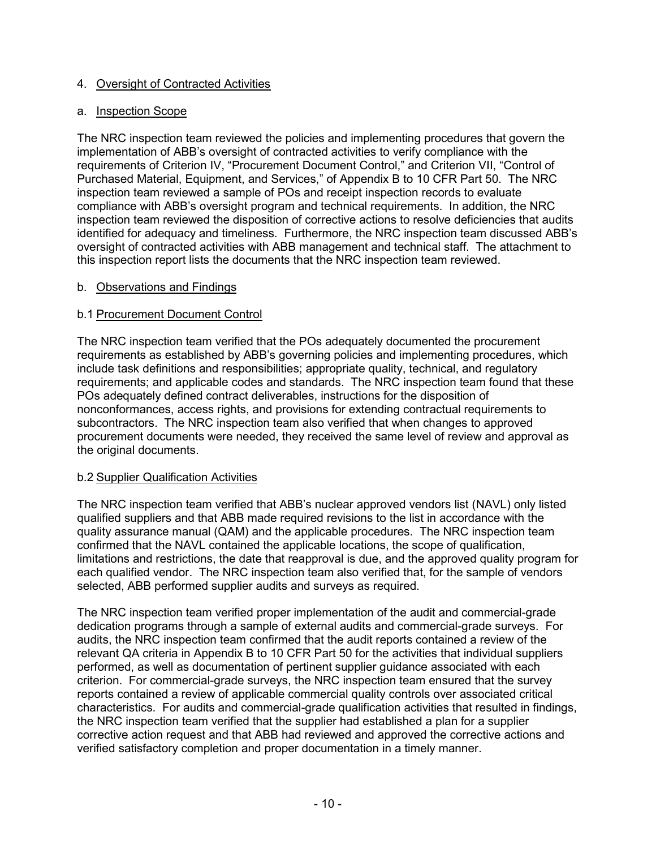# 4. Oversight of Contracted Activities

### a. Inspection Scope

The NRC inspection team reviewed the policies and implementing procedures that govern the implementation of ABB's oversight of contracted activities to verify compliance with the requirements of Criterion IV, "Procurement Document Control," and Criterion VII, "Control of Purchased Material, Equipment, and Services," of Appendix B to 10 CFR Part 50. The NRC inspection team reviewed a sample of POs and receipt inspection records to evaluate compliance with ABB's oversight program and technical requirements. In addition, the NRC inspection team reviewed the disposition of corrective actions to resolve deficiencies that audits identified for adequacy and timeliness. Furthermore, the NRC inspection team discussed ABB's oversight of contracted activities with ABB management and technical staff. The attachment to this inspection report lists the documents that the NRC inspection team reviewed.

### b. Observations and Findings

# b.1 Procurement Document Control

The NRC inspection team verified that the POs adequately documented the procurement requirements as established by ABB's governing policies and implementing procedures, which include task definitions and responsibilities; appropriate quality, technical, and regulatory requirements; and applicable codes and standards. The NRC inspection team found that these POs adequately defined contract deliverables, instructions for the disposition of nonconformances, access rights, and provisions for extending contractual requirements to subcontractors. The NRC inspection team also verified that when changes to approved procurement documents were needed, they received the same level of review and approval as the original documents.

### b.2 Supplier Qualification Activities

The NRC inspection team verified that ABB's nuclear approved vendors list (NAVL) only listed qualified suppliers and that ABB made required revisions to the list in accordance with the quality assurance manual (QAM) and the applicable procedures. The NRC inspection team confirmed that the NAVL contained the applicable locations, the scope of qualification, limitations and restrictions, the date that reapproval is due, and the approved quality program for each qualified vendor. The NRC inspection team also verified that, for the sample of vendors selected, ABB performed supplier audits and surveys as required.

The NRC inspection team verified proper implementation of the audit and commercial-grade dedication programs through a sample of external audits and commercial-grade surveys. For audits, the NRC inspection team confirmed that the audit reports contained a review of the relevant QA criteria in Appendix B to 10 CFR Part 50 for the activities that individual suppliers performed, as well as documentation of pertinent supplier guidance associated with each criterion. For commercial-grade surveys, the NRC inspection team ensured that the survey reports contained a review of applicable commercial quality controls over associated critical characteristics. For audits and commercial-grade qualification activities that resulted in findings, the NRC inspection team verified that the supplier had established a plan for a supplier corrective action request and that ABB had reviewed and approved the corrective actions and verified satisfactory completion and proper documentation in a timely manner.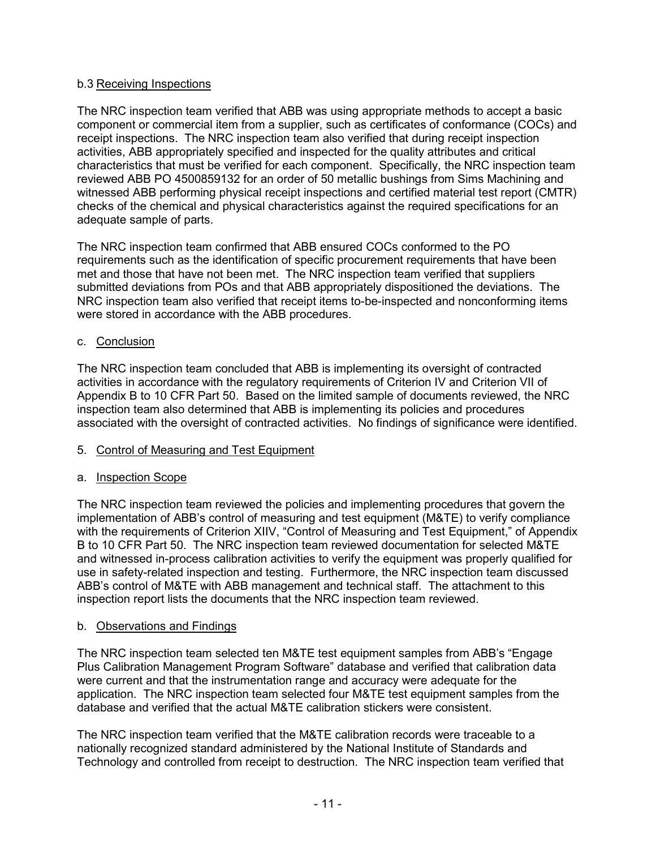# b.3 Receiving Inspections

The NRC inspection team verified that ABB was using appropriate methods to accept a basic component or commercial item from a supplier, such as certificates of conformance (COCs) and receipt inspections. The NRC inspection team also verified that during receipt inspection activities, ABB appropriately specified and inspected for the quality attributes and critical characteristics that must be verified for each component. Specifically, the NRC inspection team reviewed ABB PO 4500859132 for an order of 50 metallic bushings from Sims Machining and witnessed ABB performing physical receipt inspections and certified material test report (CMTR) checks of the chemical and physical characteristics against the required specifications for an adequate sample of parts.

The NRC inspection team confirmed that ABB ensured COCs conformed to the PO requirements such as the identification of specific procurement requirements that have been met and those that have not been met. The NRC inspection team verified that suppliers submitted deviations from POs and that ABB appropriately dispositioned the deviations. The NRC inspection team also verified that receipt items to-be-inspected and nonconforming items were stored in accordance with the ABB procedures.

# c. Conclusion

The NRC inspection team concluded that ABB is implementing its oversight of contracted activities in accordance with the regulatory requirements of Criterion IV and Criterion VII of Appendix B to 10 CFR Part 50. Based on the limited sample of documents reviewed, the NRC inspection team also determined that ABB is implementing its policies and procedures associated with the oversight of contracted activities. No findings of significance were identified.

### 5. Control of Measuring and Test Equipment

### a. Inspection Scope

The NRC inspection team reviewed the policies and implementing procedures that govern the implementation of ABB's control of measuring and test equipment (M&TE) to verify compliance with the requirements of Criterion XIIV, "Control of Measuring and Test Equipment," of Appendix B to 10 CFR Part 50. The NRC inspection team reviewed documentation for selected M&TE and witnessed in-process calibration activities to verify the equipment was properly qualified for use in safety-related inspection and testing. Furthermore, the NRC inspection team discussed ABB's control of M&TE with ABB management and technical staff. The attachment to this inspection report lists the documents that the NRC inspection team reviewed.

### b. Observations and Findings

The NRC inspection team selected ten M&TE test equipment samples from ABB's "Engage Plus Calibration Management Program Software" database and verified that calibration data were current and that the instrumentation range and accuracy were adequate for the application. The NRC inspection team selected four M&TE test equipment samples from the database and verified that the actual M&TE calibration stickers were consistent.

The NRC inspection team verified that the M&TE calibration records were traceable to a nationally recognized standard administered by the National Institute of Standards and Technology and controlled from receipt to destruction. The NRC inspection team verified that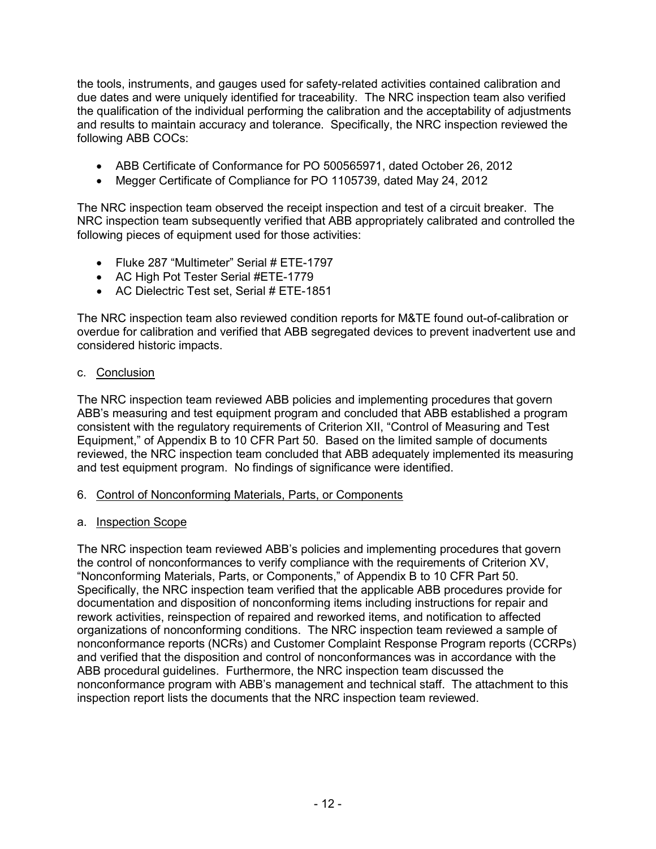the tools, instruments, and gauges used for safety-related activities contained calibration and due dates and were uniquely identified for traceability. The NRC inspection team also verified the qualification of the individual performing the calibration and the acceptability of adjustments and results to maintain accuracy and tolerance. Specifically, the NRC inspection reviewed the following ABB COCs:

- ABB Certificate of Conformance for PO 500565971, dated October 26, 2012
- Megger Certificate of Compliance for PO 1105739, dated May 24, 2012

The NRC inspection team observed the receipt inspection and test of a circuit breaker. The NRC inspection team subsequently verified that ABB appropriately calibrated and controlled the following pieces of equipment used for those activities:

- Fluke 287 "Multimeter" Serial # ETE-1797
- AC High Pot Tester Serial #ETE-1779
- AC Dielectric Test set, Serial # ETE-1851

The NRC inspection team also reviewed condition reports for M&TE found out-of-calibration or overdue for calibration and verified that ABB segregated devices to prevent inadvertent use and considered historic impacts.

# c. Conclusion

The NRC inspection team reviewed ABB policies and implementing procedures that govern ABB's measuring and test equipment program and concluded that ABB established a program consistent with the regulatory requirements of Criterion XII, "Control of Measuring and Test Equipment," of Appendix B to 10 CFR Part 50. Based on the limited sample of documents reviewed, the NRC inspection team concluded that ABB adequately implemented its measuring and test equipment program. No findings of significance were identified.

# 6. Control of Nonconforming Materials, Parts, or Components

# a. Inspection Scope

The NRC inspection team reviewed ABB's policies and implementing procedures that govern the control of nonconformances to verify compliance with the requirements of Criterion XV, "Nonconforming Materials, Parts, or Components," of Appendix B to 10 CFR Part 50. Specifically, the NRC inspection team verified that the applicable ABB procedures provide for documentation and disposition of nonconforming items including instructions for repair and rework activities, reinspection of repaired and reworked items, and notification to affected organizations of nonconforming conditions. The NRC inspection team reviewed a sample of nonconformance reports (NCRs) and Customer Complaint Response Program reports (CCRPs) and verified that the disposition and control of nonconformances was in accordance with the ABB procedural guidelines. Furthermore, the NRC inspection team discussed the nonconformance program with ABB's management and technical staff. The attachment to this inspection report lists the documents that the NRC inspection team reviewed.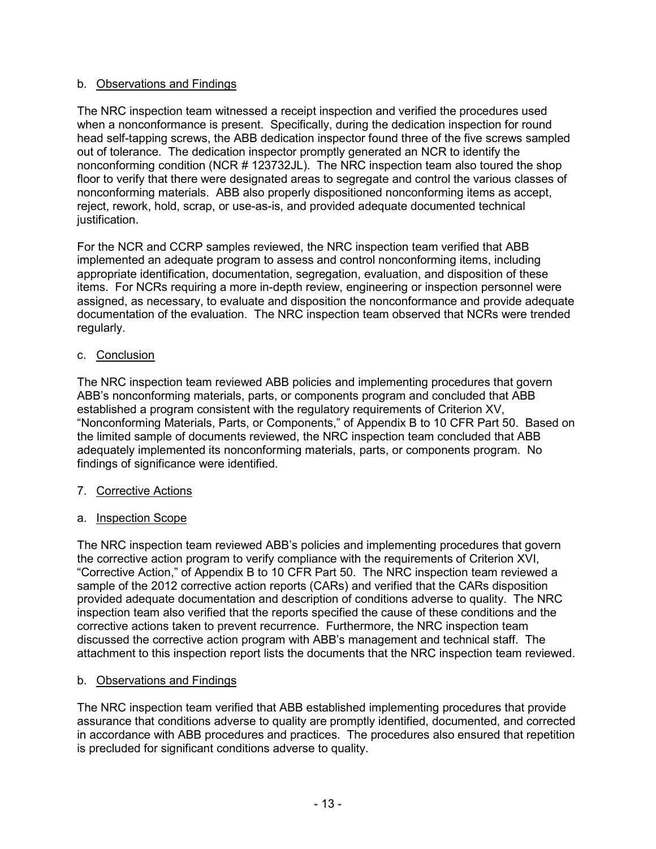# b. Observations and Findings

The NRC inspection team witnessed a receipt inspection and verified the procedures used when a nonconformance is present. Specifically, during the dedication inspection for round head self-tapping screws, the ABB dedication inspector found three of the five screws sampled out of tolerance. The dedication inspector promptly generated an NCR to identify the nonconforming condition (NCR # 123732JL). The NRC inspection team also toured the shop floor to verify that there were designated areas to segregate and control the various classes of nonconforming materials. ABB also properly dispositioned nonconforming items as accept, reject, rework, hold, scrap, or use-as-is, and provided adequate documented technical justification.

For the NCR and CCRP samples reviewed, the NRC inspection team verified that ABB implemented an adequate program to assess and control nonconforming items, including appropriate identification, documentation, segregation, evaluation, and disposition of these items. For NCRs requiring a more in-depth review, engineering or inspection personnel were assigned, as necessary, to evaluate and disposition the nonconformance and provide adequate documentation of the evaluation. The NRC inspection team observed that NCRs were trended regularly.

# c. Conclusion

The NRC inspection team reviewed ABB policies and implementing procedures that govern ABB's nonconforming materials, parts, or components program and concluded that ABB established a program consistent with the regulatory requirements of Criterion XV, "Nonconforming Materials, Parts, or Components," of Appendix B to 10 CFR Part 50. Based on the limited sample of documents reviewed, the NRC inspection team concluded that ABB adequately implemented its nonconforming materials, parts, or components program. No findings of significance were identified.

### 7. Corrective Actions

a. Inspection Scope

The NRC inspection team reviewed ABB's policies and implementing procedures that govern the corrective action program to verify compliance with the requirements of Criterion XVI, "Corrective Action," of Appendix B to 10 CFR Part 50. The NRC inspection team reviewed a sample of the 2012 corrective action reports (CARs) and verified that the CARs disposition provided adequate documentation and description of conditions adverse to quality. The NRC inspection team also verified that the reports specified the cause of these conditions and the corrective actions taken to prevent recurrence. Furthermore, the NRC inspection team discussed the corrective action program with ABB's management and technical staff. The attachment to this inspection report lists the documents that the NRC inspection team reviewed.

### b. Observations and Findings

The NRC inspection team verified that ABB established implementing procedures that provide assurance that conditions adverse to quality are promptly identified, documented, and corrected in accordance with ABB procedures and practices. The procedures also ensured that repetition is precluded for significant conditions adverse to quality.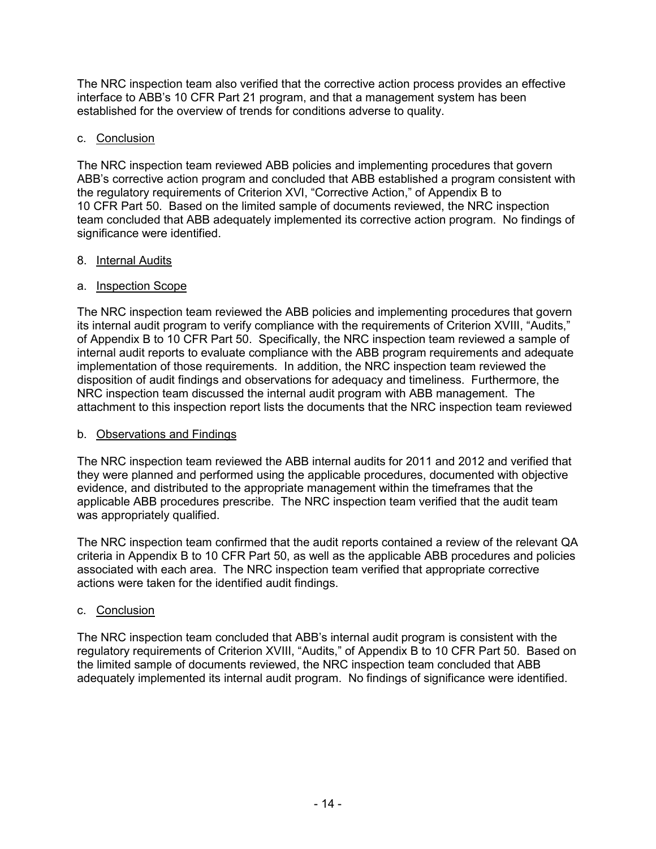The NRC inspection team also verified that the corrective action process provides an effective interface to ABB's 10 CFR Part 21 program, and that a management system has been established for the overview of trends for conditions adverse to quality.

# c. Conclusion

The NRC inspection team reviewed ABB policies and implementing procedures that govern ABB's corrective action program and concluded that ABB established a program consistent with the regulatory requirements of Criterion XVI, "Corrective Action," of Appendix B to 10 CFR Part 50. Based on the limited sample of documents reviewed, the NRC inspection team concluded that ABB adequately implemented its corrective action program. No findings of significance were identified.

### 8. Internal Audits

# a. Inspection Scope

The NRC inspection team reviewed the ABB policies and implementing procedures that govern its internal audit program to verify compliance with the requirements of Criterion XVIII, "Audits," of Appendix B to 10 CFR Part 50. Specifically, the NRC inspection team reviewed a sample of internal audit reports to evaluate compliance with the ABB program requirements and adequate implementation of those requirements. In addition, the NRC inspection team reviewed the disposition of audit findings and observations for adequacy and timeliness. Furthermore, the NRC inspection team discussed the internal audit program with ABB management. The attachment to this inspection report lists the documents that the NRC inspection team reviewed

# b. Observations and Findings

The NRC inspection team reviewed the ABB internal audits for 2011 and 2012 and verified that they were planned and performed using the applicable procedures, documented with objective evidence, and distributed to the appropriate management within the timeframes that the applicable ABB procedures prescribe. The NRC inspection team verified that the audit team was appropriately qualified.

The NRC inspection team confirmed that the audit reports contained a review of the relevant QA criteria in Appendix B to 10 CFR Part 50, as well as the applicable ABB procedures and policies associated with each area. The NRC inspection team verified that appropriate corrective actions were taken for the identified audit findings.

# c. Conclusion

The NRC inspection team concluded that ABB's internal audit program is consistent with the regulatory requirements of Criterion XVIII, "Audits," of Appendix B to 10 CFR Part 50. Based on the limited sample of documents reviewed, the NRC inspection team concluded that ABB adequately implemented its internal audit program. No findings of significance were identified.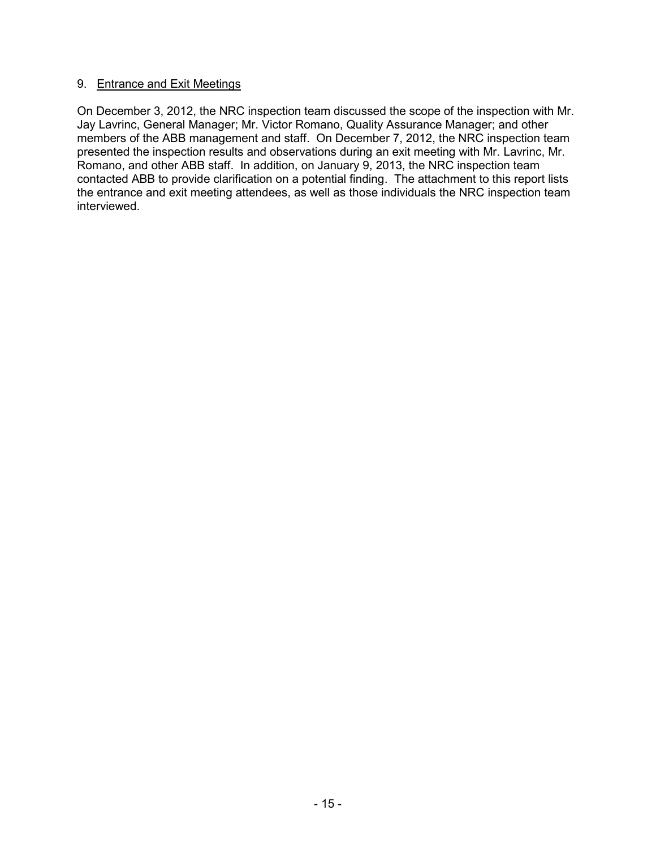### 9. Entrance and Exit Meetings

On December 3, 2012, the NRC inspection team discussed the scope of the inspection with Mr. Jay Lavrinc, General Manager; Mr. Victor Romano, Quality Assurance Manager; and other members of the ABB management and staff. On December 7, 2012, the NRC inspection team presented the inspection results and observations during an exit meeting with Mr. Lavrinc, Mr. Romano, and other ABB staff. In addition, on January 9, 2013, the NRC inspection team contacted ABB to provide clarification on a potential finding. The attachment to this report lists the entrance and exit meeting attendees, as well as those individuals the NRC inspection team interviewed.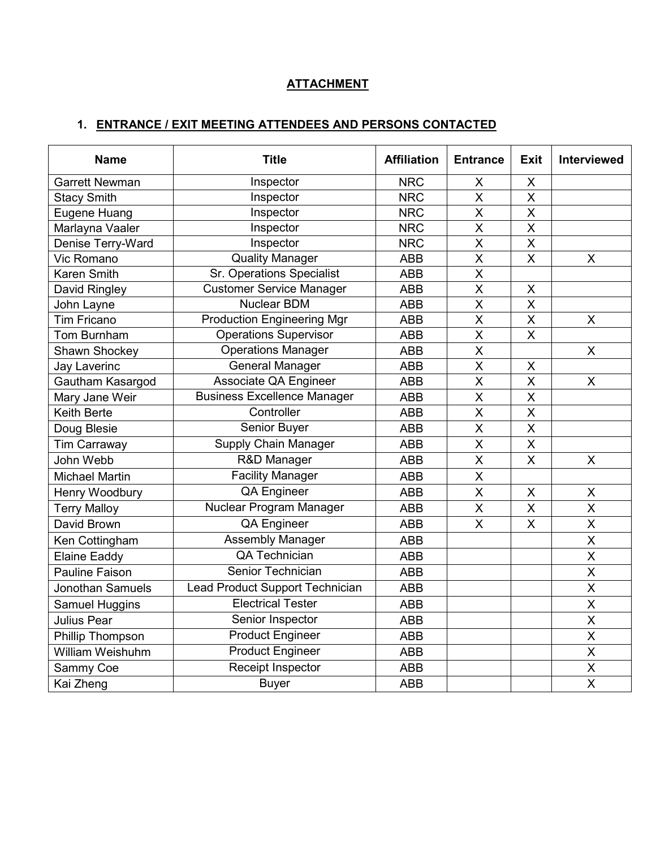# **ATTACHMENT**

# **1. ENTRANCE / EXIT MEETING ATTENDEES AND PERSONS CONTACTED**

| <b>Name</b>           | <b>Title</b>                           | <b>Affiliation</b> | <b>Entrance</b>         | Exit                    | <b>Interviewed</b>      |
|-----------------------|----------------------------------------|--------------------|-------------------------|-------------------------|-------------------------|
| <b>Garrett Newman</b> | Inspector                              | <b>NRC</b>         | X                       | X                       |                         |
| <b>Stacy Smith</b>    | Inspector                              | <b>NRC</b>         | X                       | X                       |                         |
| Eugene Huang          | Inspector                              | <b>NRC</b>         | X                       | $\sf X$                 |                         |
| Marlayna Vaaler       | Inspector                              | <b>NRC</b>         | X                       | $\overline{\mathsf{X}}$ |                         |
| Denise Terry-Ward     | Inspector                              | <b>NRC</b>         | $\overline{\mathsf{x}}$ | $\overline{\mathsf{X}}$ |                         |
| Vic Romano            | <b>Quality Manager</b>                 | <b>ABB</b>         | $\overline{\mathsf{x}}$ | $\overline{\mathsf{x}}$ | $\mathsf{X}$            |
| Karen Smith           | <b>Sr. Operations Specialist</b>       | <b>ABB</b>         | $\overline{\mathsf{X}}$ |                         |                         |
| David Ringley         | <b>Customer Service Manager</b>        | <b>ABB</b>         | X                       | $\sf X$                 |                         |
| John Layne            | <b>Nuclear BDM</b>                     | <b>ABB</b>         | $\overline{\mathsf{x}}$ | $\overline{\mathsf{x}}$ |                         |
| <b>Tim Fricano</b>    | <b>Production Engineering Mgr</b>      | <b>ABB</b>         | $\overline{\mathsf{x}}$ | $\overline{\mathsf{x}}$ | X                       |
| Tom Burnham           | <b>Operations Supervisor</b>           | <b>ABB</b>         | $\overline{\mathsf{x}}$ | $\overline{\mathsf{x}}$ |                         |
| Shawn Shockey         | <b>Operations Manager</b>              | <b>ABB</b>         | X                       |                         | $\mathsf{X}$            |
| <b>Jay Laverinc</b>   | <b>General Manager</b>                 | <b>ABB</b>         | $\overline{\mathsf{X}}$ | X                       |                         |
| Gautham Kasargod      | <b>Associate QA Engineer</b>           | <b>ABB</b>         | X                       | $\sf X$                 | X                       |
| Mary Jane Weir        | <b>Business Excellence Manager</b>     | <b>ABB</b>         | $\overline{\mathsf{x}}$ | $\overline{\mathsf{X}}$ |                         |
| <b>Keith Berte</b>    | Controller                             | <b>ABB</b>         | $\overline{\mathsf{x}}$ | $\overline{X}$          |                         |
| Doug Blesie           | Senior Buyer                           | <b>ABB</b>         | X                       | X                       |                         |
| Tim Carraway          | Supply Chain Manager                   | <b>ABB</b>         | $\overline{\mathsf{X}}$ | $\overline{X}$          |                         |
| John Webb             | R&D Manager                            | <b>ABB</b>         | X                       | X                       | X                       |
| <b>Michael Martin</b> | <b>Facility Manager</b>                | <b>ABB</b>         | X                       |                         |                         |
| Henry Woodbury        | <b>QA Engineer</b>                     | <b>ABB</b>         | X                       | X                       | X                       |
| <b>Terry Malloy</b>   | Nuclear Program Manager                | <b>ABB</b>         | X                       | $\pmb{\times}$          | X                       |
| David Brown           | QA Engineer                            | <b>ABB</b>         | X                       | X                       | X                       |
| Ken Cottingham        | Assembly Manager                       | <b>ABB</b>         |                         |                         | $\overline{\mathsf{X}}$ |
| <b>Elaine Eaddy</b>   | <b>QA Technician</b>                   | <b>ABB</b>         |                         |                         | $\overline{\mathsf{x}}$ |
| <b>Pauline Faison</b> | Senior Technician                      | <b>ABB</b>         |                         |                         | X                       |
| Jonothan Samuels      | <b>Lead Product Support Technician</b> | <b>ABB</b>         |                         |                         | $\overline{\mathsf{x}}$ |
| Samuel Huggins        | <b>Electrical Tester</b>               | <b>ABB</b>         |                         |                         | X                       |
| Julius Pear           | Senior Inspector                       | <b>ABB</b>         |                         |                         | X                       |
| Phillip Thompson      | <b>Product Engineer</b>                | <b>ABB</b>         |                         |                         | $\overline{\mathsf{x}}$ |
| William Weishuhm      | <b>Product Engineer</b>                | <b>ABB</b>         |                         |                         | X                       |
| Sammy Coe             | Receipt Inspector                      | <b>ABB</b>         |                         |                         | X                       |
| Kai Zheng             | <b>Buyer</b>                           | <b>ABB</b>         |                         |                         | $\overline{\mathsf{x}}$ |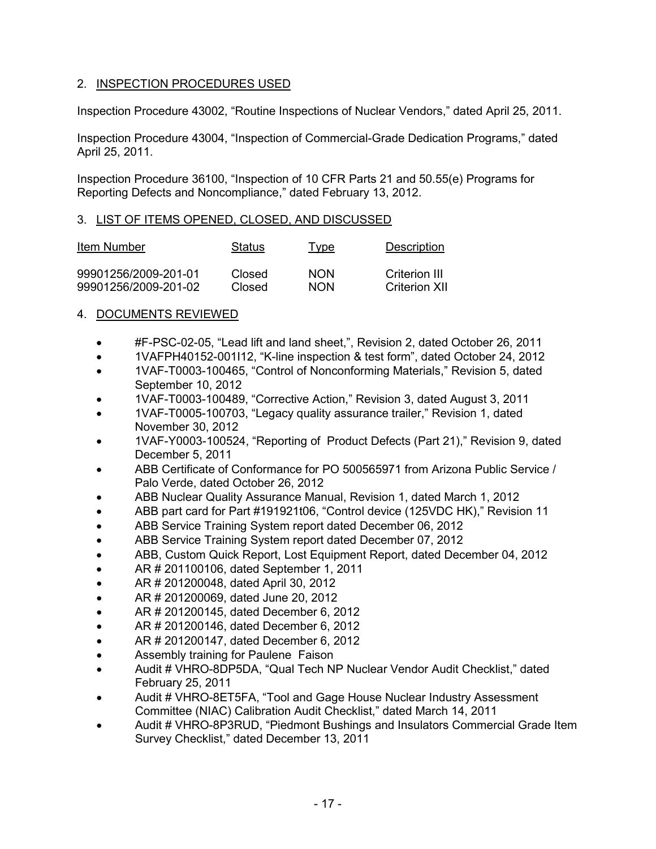# 2. INSPECTION PROCEDURES USED

Inspection Procedure 43002, "Routine Inspections of Nuclear Vendors," dated April 25, 2011.

Inspection Procedure 43004, "Inspection of Commercial-Grade Dedication Programs," dated April 25, 2011.

Inspection Procedure 36100, "Inspection of 10 CFR Parts 21 and 50.55(e) Programs for Reporting Defects and Noncompliance," dated February 13, 2012.

### 3. LIST OF ITEMS OPENED, CLOSED, AND DISCUSSED

| Item Number          | Status | Type       | Description   |
|----------------------|--------|------------|---------------|
| 99901256/2009-201-01 | Closed | <b>NON</b> | Criterion III |
| 99901256/2009-201-02 | Closed | <b>NON</b> | Criterion XII |

# 4. DOCUMENTS REVIEWED

- #F-PSC-02-05, "Lead lift and land sheet,", Revision 2, dated October 26, 2011
- 1VAFPH40152-001I12, "K-line inspection & test form", dated October 24, 2012
- 1VAF-T0003-100465, "Control of Nonconforming Materials," Revision 5, dated September 10, 2012
- 1VAF-T0003-100489, "Corrective Action," Revision 3, dated August 3, 2011
- 1VAF-T0005-100703, "Legacy quality assurance trailer," Revision 1, dated November 30, 2012
- 1VAF-Y0003-100524, "Reporting of Product Defects (Part 21)," Revision 9, dated December 5, 2011
- ABB Certificate of Conformance for PO 500565971 from Arizona Public Service / Palo Verde, dated October 26, 2012
- ABB Nuclear Quality Assurance Manual, Revision 1, dated March 1, 2012
- ABB part card for Part #191921t06, "Control device (125VDC HK)," Revision 11
- ABB Service Training System report dated December 06, 2012
- ABB Service Training System report dated December 07, 2012
- ABB, Custom Quick Report, Lost Equipment Report, dated December 04, 2012
- AR # 201100106, dated September 1, 2011
- AR # 201200048, dated April 30, 2012
- AR # 201200069, dated June 20, 2012
- AR # 201200145, dated December 6, 2012
- AR # 201200146, dated December 6, 2012
- AR # 201200147, dated December 6, 2012
- Assembly training for Paulene Faison
- Audit # VHRO-8DP5DA, "Qual Tech NP Nuclear Vendor Audit Checklist," dated February 25, 2011
- Audit # VHRO-8ET5FA, "Tool and Gage House Nuclear Industry Assessment Committee (NIAC) Calibration Audit Checklist," dated March 14, 2011
- Audit # VHRO-8P3RUD, "Piedmont Bushings and Insulators Commercial Grade Item Survey Checklist," dated December 13, 2011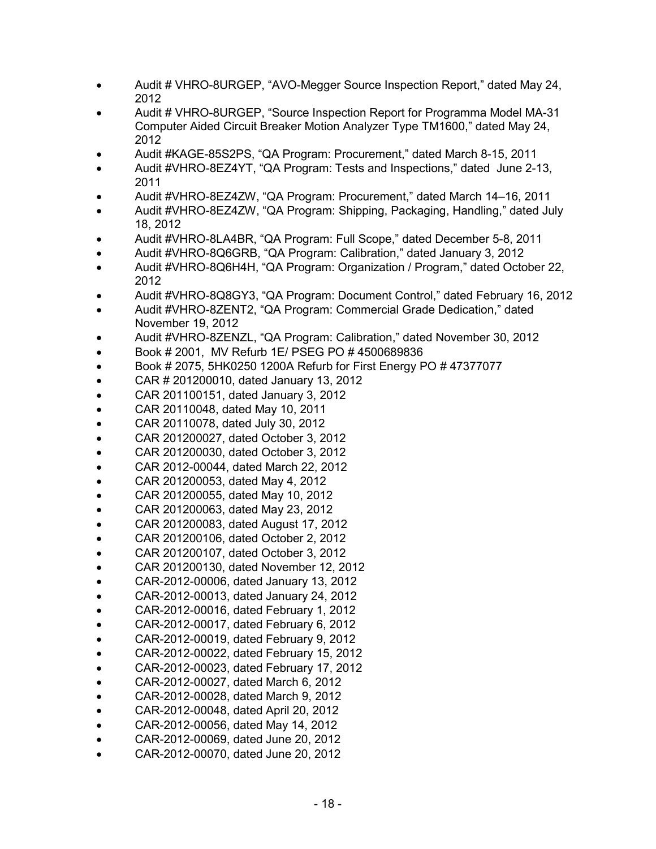- Audit # VHRO-8URGEP, "AVO-Megger Source Inspection Report," dated May 24, 2012
- Audit # VHRO-8URGEP, "Source Inspection Report for Programma Model MA-31 Computer Aided Circuit Breaker Motion Analyzer Type TM1600," dated May 24, 2012
- Audit #KAGE-85S2PS, "QA Program: Procurement," dated March 8-15, 2011
- Audit #VHRO-8EZ4YT, "QA Program: Tests and Inspections," dated June 2-13, 2011
- Audit #VHRO-8EZ4ZW, "QA Program: Procurement," dated March 14–16, 2011
- Audit #VHRO-8EZ4ZW, "QA Program: Shipping, Packaging, Handling," dated July 18, 2012
- Audit #VHRO-8LA4BR, "QA Program: Full Scope," dated December 5-8, 2011
- Audit #VHRO-8Q6GRB, "QA Program: Calibration," dated January 3, 2012
- Audit #VHRO-8Q6H4H, "QA Program: Organization / Program," dated October 22, 2012
- Audit #VHRO-8Q8GY3, "QA Program: Document Control," dated February 16, 2012
- Audit #VHRO-8ZENT2, "QA Program: Commercial Grade Dedication," dated November 19, 2012
- Audit #VHRO-8ZENZL, "QA Program: Calibration," dated November 30, 2012
- Book # 2001, MV Refurb 1E/ PSEG PO # 4500689836
- Book # 2075, 5HK0250 1200A Refurb for First Energy PO # 47377077
- CAR # 201200010, dated January 13, 2012
- CAR 201100151, dated January 3, 2012
- CAR 20110048, dated May 10, 2011
- CAR 20110078, dated July 30, 2012
- CAR 201200027, dated October 3, 2012
- CAR 201200030, dated October 3, 2012
- CAR 2012-00044, dated March 22, 2012
- CAR 201200053, dated May 4, 2012
- CAR 201200055, dated May 10, 2012
- CAR 201200063, dated May 23, 2012
- CAR 201200083, dated August 17, 2012
- CAR 201200106, dated October 2, 2012
- CAR 201200107, dated October 3, 2012
- CAR 201200130, dated November 12, 2012
- CAR-2012-00006, dated January 13, 2012
- CAR-2012-00013, dated January 24, 2012
- CAR-2012-00016, dated February 1, 2012
- CAR-2012-00017, dated February 6, 2012
- CAR-2012-00019, dated February 9, 2012
- 
- CAR-2012-00022, dated February 15, 2012
- CAR-2012-00023, dated February 17, 2012
- CAR-2012-00027, dated March 6, 2012
- CAR-2012-00028, dated March 9, 2012
- CAR-2012-00048, dated April 20, 2012
- CAR-2012-00056, dated May 14, 2012
- CAR-2012-00069, dated June 20, 2012
- CAR-2012-00070, dated June 20, 2012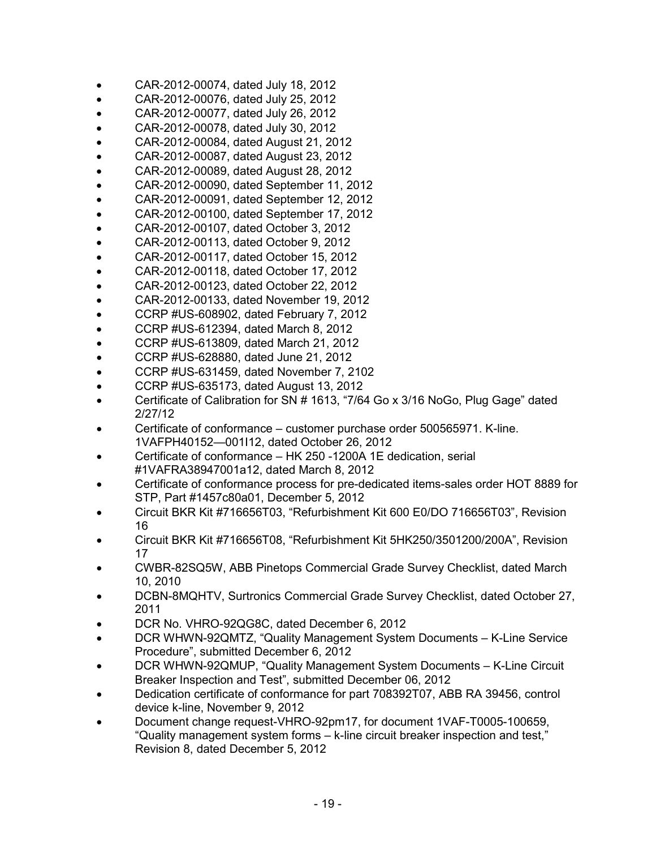- CAR-2012-00074, dated July 18, 2012
- CAR-2012-00076, dated July 25, 2012
- CAR-2012-00077, dated July 26, 2012
- CAR-2012-00078, dated July 30, 2012
- CAR-2012-00084, dated August 21, 2012
- CAR-2012-00087, dated August 23, 2012
- CAR-2012-00089, dated August 28, 2012
- CAR-2012-00090, dated September 11, 2012
- CAR-2012-00091, dated September 12, 2012
- CAR-2012-00100, dated September 17, 2012
- CAR-2012-00107, dated October 3, 2012
- CAR-2012-00113, dated October 9, 2012
- CAR-2012-00117, dated October 15, 2012
- CAR-2012-00118, dated October 17, 2012
- CAR-2012-00123, dated October 22, 2012
- CAR-2012-00133, dated November 19, 2012
- CCRP #US-608902, dated February 7, 2012
- CCRP #US-612394, dated March 8, 2012
- CCRP #US-613809, dated March 21, 2012
- CCRP #US-628880, dated June 21, 2012
- CCRP #US-631459, dated November 7, 2102
- CCRP #US-635173, dated August 13, 2012
- Certificate of Calibration for SN # 1613, "7/64 Go x 3/16 NoGo, Plug Gage" dated 2/27/12
- Certificate of conformance customer purchase order 500565971. K-line. 1VAFPH40152—001I12, dated October 26, 2012
- Certificate of conformance HK 250 -1200A 1E dedication, serial #1VAFRA38947001a12, dated March 8, 2012
- Certificate of conformance process for pre-dedicated items-sales order HOT 8889 for STP, Part #1457c80a01, December 5, 2012
- Circuit BKR Kit #716656T03, "Refurbishment Kit 600 E0/DO 716656T03", Revision 16
- Circuit BKR Kit #716656T08, "Refurbishment Kit 5HK250/3501200/200A", Revision 17
- CWBR-82SQ5W, ABB Pinetops Commercial Grade Survey Checklist, dated March 10, 2010
- DCBN-8MQHTV, Surtronics Commercial Grade Survey Checklist, dated October 27, 2011
- DCR No. VHRO-92QG8C, dated December 6, 2012
- DCR WHWN-92QMTZ, "Quality Management System Documents K-Line Service Procedure", submitted December 6, 2012
- DCR WHWN-92QMUP, "Quality Management System Documents K-Line Circuit Breaker Inspection and Test", submitted December 06, 2012
- Dedication certificate of conformance for part 708392T07, ABB RA 39456, control device k-line, November 9, 2012
- Document change request-VHRO-92pm17, for document 1VAF-T0005-100659, "Quality management system forms – k-line circuit breaker inspection and test," Revision 8, dated December 5, 2012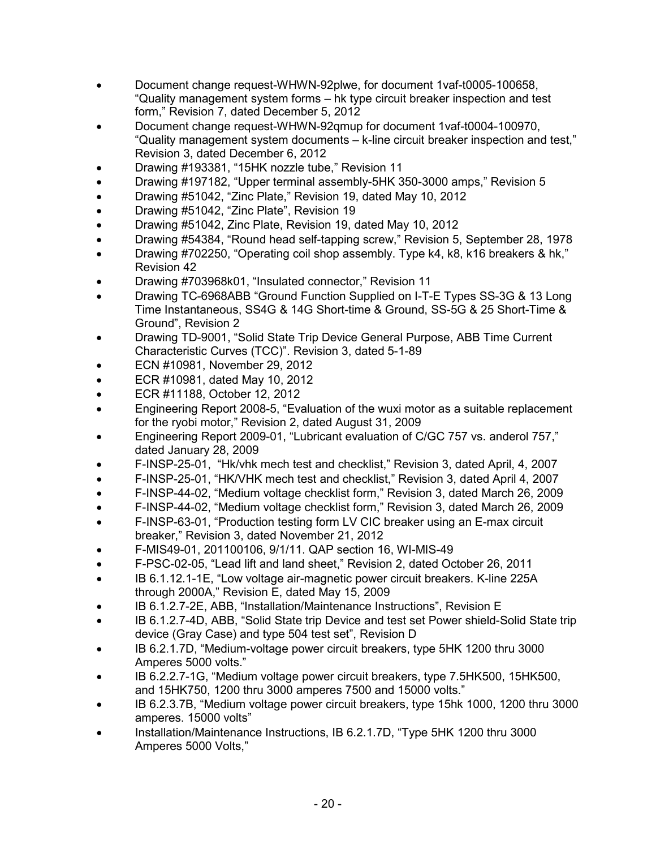- Document change request-WHWN-92plwe, for document 1vaf-t0005-100658, "Quality management system forms – hk type circuit breaker inspection and test form," Revision 7, dated December 5, 2012
- Document change request-WHWN-92qmup for document 1vaf-t0004-100970, "Quality management system documents – k-line circuit breaker inspection and test," Revision 3, dated December 6, 2012
- Drawing #193381, "15HK nozzle tube," Revision 11
- Drawing #197182, "Upper terminal assembly-5HK 350-3000 amps," Revision 5
- Drawing #51042, "Zinc Plate," Revision 19, dated May 10, 2012
- Drawing #51042, "Zinc Plate", Revision 19
- Drawing #51042, Zinc Plate, Revision 19, dated May 10, 2012
- Drawing #54384, "Round head self-tapping screw," Revision 5, September 28, 1978
- Drawing #702250, "Operating coil shop assembly. Type k4, k8, k16 breakers & hk," Revision 42
- Drawing #703968k01, "Insulated connector," Revision 11
- Drawing TC-6968ABB "Ground Function Supplied on I-T-E Types SS-3G & 13 Long Time Instantaneous, SS4G & 14G Short-time & Ground, SS-5G & 25 Short-Time & Ground", Revision 2
- Drawing TD-9001, "Solid State Trip Device General Purpose, ABB Time Current Characteristic Curves (TCC)". Revision 3, dated 5-1-89
- ECN #10981, November 29, 2012
- ECR #10981, dated May 10, 2012
- ECR #11188, October 12, 2012
- Engineering Report 2008-5, "Evaluation of the wuxi motor as a suitable replacement for the ryobi motor," Revision 2, dated August 31, 2009
- Engineering Report 2009-01, "Lubricant evaluation of C/GC 757 vs. anderol 757," dated January 28, 2009
- F-INSP-25-01, "Hk/vhk mech test and checklist," Revision 3, dated April, 4, 2007
- F-INSP-25-01, "HK/VHK mech test and checklist," Revision 3, dated April 4, 2007
- F-INSP-44-02, "Medium voltage checklist form," Revision 3, dated March 26, 2009
- F-INSP-44-02, "Medium voltage checklist form," Revision 3, dated March 26, 2009
- F-INSP-63-01, "Production testing form LV CIC breaker using an E-max circuit breaker," Revision 3, dated November 21, 2012
- F-MIS49-01, 201100106, 9/1/11. QAP section 16, WI-MIS-49
- F-PSC-02-05, "Lead lift and land sheet," Revision 2, dated October 26, 2011
- IB 6.1.12.1-1E, "Low voltage air-magnetic power circuit breakers. K-line 225A through 2000A," Revision E, dated May 15, 2009
- IB 6.1.2.7-2E, ABB, "Installation/Maintenance Instructions", Revision E
- IB 6.1.2.7-4D, ABB, "Solid State trip Device and test set Power shield-Solid State trip device (Gray Case) and type 504 test set", Revision D
- IB 6.2.1.7D, "Medium-voltage power circuit breakers, type 5HK 1200 thru 3000 Amperes 5000 volts."
- IB 6.2.2.7-1G, "Medium voltage power circuit breakers, type 7.5HK500, 15HK500, and 15HK750, 1200 thru 3000 amperes 7500 and 15000 volts."
- IB 6.2.3.7B, "Medium voltage power circuit breakers, type 15hk 1000, 1200 thru 3000 amperes. 15000 volts"
- Installation/Maintenance Instructions, IB 6.2.1.7D, "Type 5HK 1200 thru 3000 Amperes 5000 Volts,"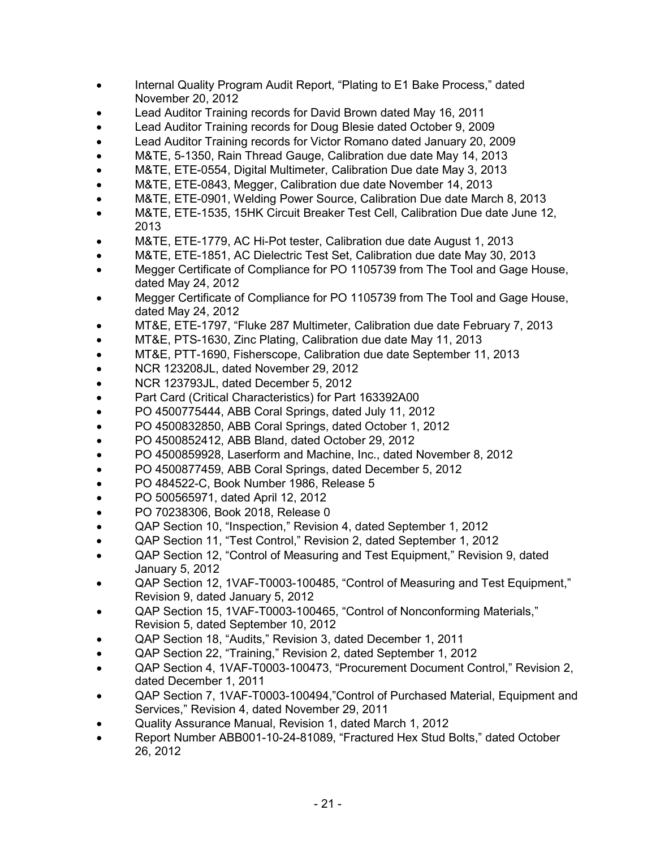- Internal Quality Program Audit Report, "Plating to E1 Bake Process," dated November 20, 2012
- Lead Auditor Training records for David Brown dated May 16, 2011
- Lead Auditor Training records for Doug Blesie dated October 9, 2009
- Lead Auditor Training records for Victor Romano dated January 20, 2009
- M&TE, 5-1350, Rain Thread Gauge, Calibration due date May 14, 2013
- M&TE, ETE-0554, Digital Multimeter, Calibration Due date May 3, 2013
- M&TE, ETE-0843, Megger, Calibration due date November 14, 2013
- M&TE, ETE-0901, Welding Power Source, Calibration Due date March 8, 2013
- M&TE, ETE-1535, 15HK Circuit Breaker Test Cell, Calibration Due date June 12, 2013
- M&TE, ETE-1779, AC Hi-Pot tester, Calibration due date August 1, 2013
- M&TE, ETE-1851, AC Dielectric Test Set, Calibration due date May 30, 2013
- Megger Certificate of Compliance for PO 1105739 from The Tool and Gage House, dated May 24, 2012
- Megger Certificate of Compliance for PO 1105739 from The Tool and Gage House, dated May 24, 2012
- MT&E, ETE-1797, "Fluke 287 Multimeter, Calibration due date February 7, 2013
- MT&E, PTS-1630, Zinc Plating, Calibration due date May 11, 2013
- MT&E, PTT-1690, Fisherscope, Calibration due date September 11, 2013
- NCR 123208JL, dated November 29, 2012
- NCR 123793JL, dated December 5, 2012
- Part Card (Critical Characteristics) for Part 163392A00
- PO 4500775444, ABB Coral Springs, dated July 11, 2012
- PO 4500832850, ABB Coral Springs, dated October 1, 2012
- PO 4500852412, ABB Bland, dated October 29, 2012
- PO 4500859928, Laserform and Machine, Inc., dated November 8, 2012
- PO 4500877459, ABB Coral Springs, dated December 5, 2012
- PO 484522-C, Book Number 1986, Release 5
- PO 500565971, dated April 12, 2012
- PO 70238306, Book 2018, Release 0
- QAP Section 10, "Inspection," Revision 4, dated September 1, 2012
- QAP Section 11, "Test Control," Revision 2, dated September 1, 2012
- QAP Section 12, "Control of Measuring and Test Equipment," Revision 9, dated January 5, 2012
- QAP Section 12, 1VAF-T0003-100485, "Control of Measuring and Test Equipment," Revision 9, dated January 5, 2012
- QAP Section 15, 1VAF-T0003-100465, "Control of Nonconforming Materials," Revision 5, dated September 10, 2012
- QAP Section 18, "Audits," Revision 3, dated December 1, 2011
- QAP Section 22, "Training," Revision 2, dated September 1, 2012
- QAP Section 4, 1VAF-T0003-100473, "Procurement Document Control," Revision 2, dated December 1, 2011
- QAP Section 7, 1VAF-T0003-100494,"Control of Purchased Material, Equipment and Services," Revision 4, dated November 29, 2011
- Quality Assurance Manual, Revision 1, dated March 1, 2012
- Report Number ABB001-10-24-81089, "Fractured Hex Stud Bolts," dated October 26, 2012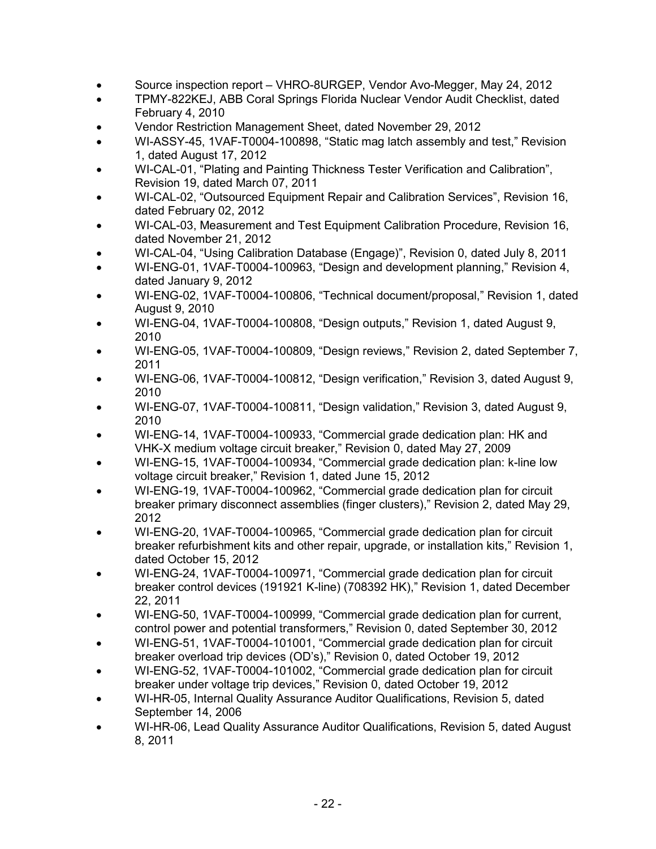- Source inspection report VHRO-8URGEP, Vendor Avo-Megger, May 24, 2012
- TPMY-822KEJ, ABB Coral Springs Florida Nuclear Vendor Audit Checklist, dated February 4, 2010
- Vendor Restriction Management Sheet, dated November 29, 2012
- WI-ASSY-45, 1VAF-T0004-100898, "Static mag latch assembly and test," Revision 1, dated August 17, 2012
- WI-CAL-01, "Plating and Painting Thickness Tester Verification and Calibration", Revision 19, dated March 07, 2011
- WI-CAL-02, "Outsourced Equipment Repair and Calibration Services", Revision 16, dated February 02, 2012
- WI-CAL-03, Measurement and Test Equipment Calibration Procedure, Revision 16, dated November 21, 2012
- WI-CAL-04, "Using Calibration Database (Engage)", Revision 0, dated July 8, 2011
- WI-ENG-01, 1VAF-T0004-100963, "Design and development planning," Revision 4, dated January 9, 2012
- WI-ENG-02, 1VAF-T0004-100806, "Technical document/proposal," Revision 1, dated August 9, 2010
- WI-ENG-04, 1VAF-T0004-100808, "Design outputs," Revision 1, dated August 9, 2010
- WI-ENG-05, 1VAF-T0004-100809, "Design reviews," Revision 2, dated September 7, 2011
- WI-ENG-06, 1VAF-T0004-100812, "Design verification," Revision 3, dated August 9, 2010
- WI-ENG-07, 1VAF-T0004-100811, "Design validation," Revision 3, dated August 9, 2010
- WI-ENG-14, 1VAF-T0004-100933, "Commercial grade dedication plan: HK and VHK-X medium voltage circuit breaker," Revision 0, dated May 27, 2009
- WI-ENG-15, 1VAF-T0004-100934, "Commercial grade dedication plan: k-line low voltage circuit breaker," Revision 1, dated June 15, 2012
- WI-ENG-19, 1VAF-T0004-100962, "Commercial grade dedication plan for circuit breaker primary disconnect assemblies (finger clusters)," Revision 2, dated May 29, 2012
- WI-ENG-20, 1VAF-T0004-100965, "Commercial grade dedication plan for circuit breaker refurbishment kits and other repair, upgrade, or installation kits," Revision 1, dated October 15, 2012
- WI-ENG-24, 1VAF-T0004-100971, "Commercial grade dedication plan for circuit breaker control devices (191921 K-line) (708392 HK)," Revision 1, dated December 22, 2011
- WI-ENG-50, 1VAF-T0004-100999, "Commercial grade dedication plan for current, control power and potential transformers," Revision 0, dated September 30, 2012
- WI-ENG-51, 1VAF-T0004-101001, "Commercial grade dedication plan for circuit breaker overload trip devices (OD's)," Revision 0, dated October 19, 2012
- WI-ENG-52, 1VAF-T0004-101002, "Commercial grade dedication plan for circuit breaker under voltage trip devices," Revision 0, dated October 19, 2012
- WI-HR-05, Internal Quality Assurance Auditor Qualifications, Revision 5, dated September 14, 2006
- WI-HR-06, Lead Quality Assurance Auditor Qualifications, Revision 5, dated August 8, 2011